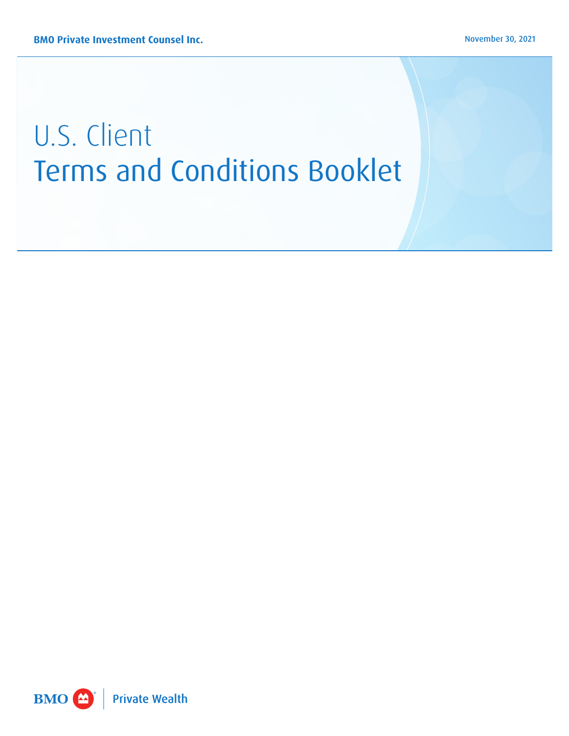# U.S. Client Terms and Conditions Booklet

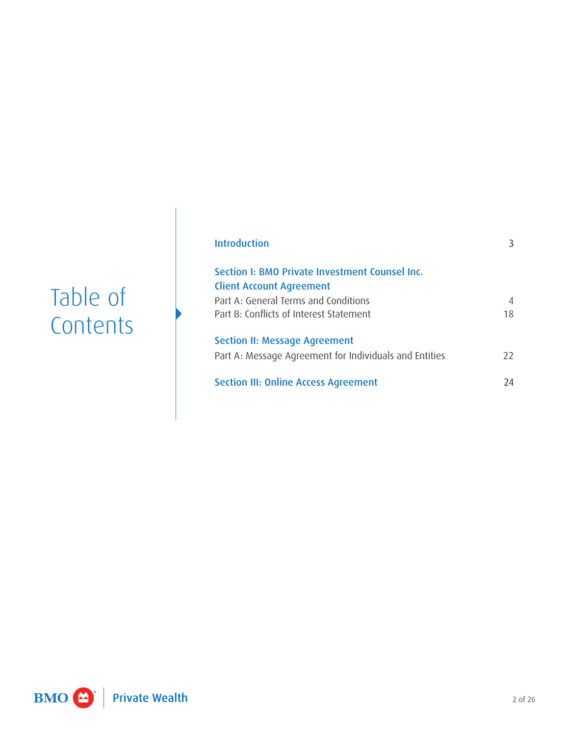## Table of **Contents**

| Introduction                                                                                   | 3       |
|------------------------------------------------------------------------------------------------|---------|
| Section I: BMO Private Investment Counsel Inc.<br><b>Client Account Agreement</b>              |         |
| Part A: General Terms and Conditions<br>Part B: Conflicts of Interest Statement                | 4<br>18 |
| <b>Section II: Message Agreement</b><br>Part A: Message Agreement for Individuals and Entities | $77$    |
| <b>Section III: Online Access Agreement</b>                                                    | 74      |

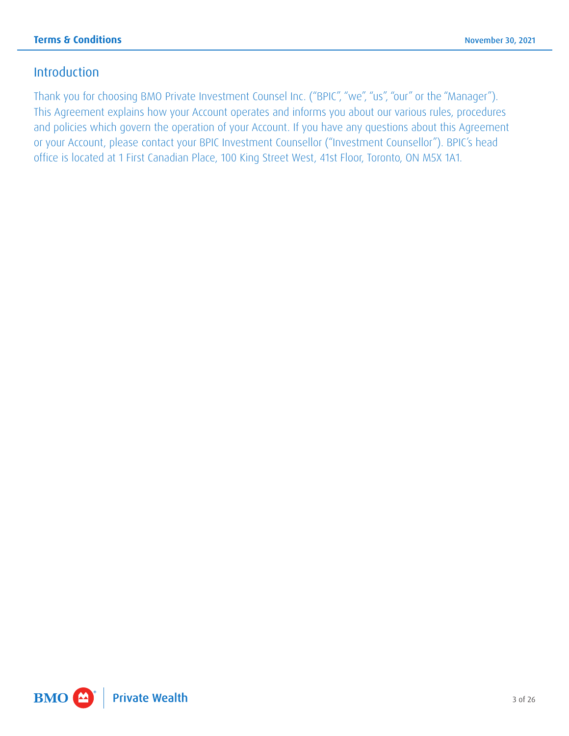### <span id="page-2-0"></span>Introduction

 This Agreement explains how your Account operates and informs you about our various rules, procedures or your Account, please contact your BPIC Investment Counsellor ("Investment Counsellor"). BPIC's head Thank you for choosing BMO Private Investment Counsel Inc. ("BPIC", "we", "us", "our" or the "Manager"). and policies which govern the operation of your Account. If you have any questions about this Agreement office is located at 1 First Canadian Place, 100 King Street West, 41st Floor, Toronto, ON M5X 1A1.

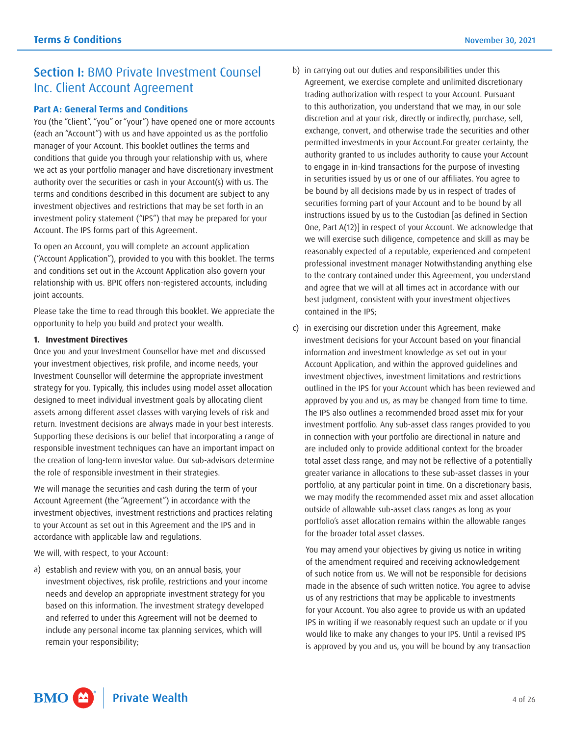## <span id="page-3-0"></span>Section I: BMO Private Investment Counsel Inc. Client Account Agreement

#### **Part A: General Terms and Conditions**

 investment policy statement ("IPS") that may be prepared for your You (the "Client", "you" or "your") have opened one or more accounts (each an "Account") with us and have appointed us as the portfolio manager of your Account. This booklet outlines the terms and conditions that guide you through your relationship with us, where we act as your portfolio manager and have discretionary investment authority over the securities or cash in your Account(s) with us. The terms and conditions described in this document are subject to any investment objectives and restrictions that may be set forth in an Account. The IPS forms part of this Agreement.

To open an Account, you will complete an account application ("Account Application"), provided to you with this booklet. The terms and conditions set out in the Account Application also govern your relationship with us. BPIC offers non-registered accounts, including joint accounts.

Please take the time to read through this booklet. We appreciate the opportunity to help you build and protect your wealth.

#### **1. Investment Directives**

Once you and your Investment Counsellor have met and discussed your investment objectives, risk profile, and income needs, your Investment Counsellor will determine the appropriate investment strategy for you. Typically, this includes using model asset allocation designed to meet individual investment goals by allocating client assets among different asset classes with varying levels of risk and return. Investment decisions are always made in your best interests. Supporting these decisions is our belief that incorporating a range of responsible investment techniques can have an important impact on the creation of long-term investor value. Our sub-advisors determine the role of responsible investment in their strategies.

We will manage the securities and cash during the term of your Account Agreement (the "Agreement") in accordance with the investment objectives, investment restrictions and practices relating to your Account as set out in this Agreement and the IPS and in accordance with applicable law and regulations.

We will, with respect, to your Account:

 a) establish and review with you, on an annual basis, your investment objectives, risk profile, restrictions and your income needs and develop an appropriate investment strategy for you based on this information. The investment strategy developed and referred to under this Agreement will not be deemed to include any personal income tax planning services, which will remain your responsibility;

- b) in carrying out our duties and responsibilities under this Agreement, we exercise complete and unlimited discretionary trading authorization with respect to your Account. Pursuant to this authorization, you understand that we may, in our sole discretion and at your risk, directly or indirectly, purchase, sell, exchange, convert, and otherwise trade the securities and other permitted investments in your Account.For greater certainty, the authority granted to us includes authority to cause your Account to engage in in-kind transactions for the purpose of investing in securities issued by us or one of our affiliates. You agree to be bound by all decisions made by us in respect of trades of securities forming part of your Account and to be bound by all instructions issued by us to the Custodian [as defined in Section One, Part A(12)] in respect of your Account. We acknowledge that we will exercise such diligence, competence and skill as may be reasonably expected of a reputable, experienced and competent professional investment manager Notwithstanding anything else to the contrary contained under this Agreement, you understand and agree that we will at all times act in accordance with our best judgment, consistent with your investment objectives contained in the IPS;
- investment decisions for your Account based on your financial outlined in the IPS for your Account which has been reviewed and The IPS also outlines a recommended broad asset mix for your greater variance in allocations to these sub-asset classes in your c) in exercising our discretion under this Agreement, make information and investment knowledge as set out in your Account Application, and within the approved guidelines and investment objectives, investment limitations and restrictions approved by you and us, as may be changed from time to time. investment portfolio. Any sub-asset class ranges provided to you in connection with your portfolio are directional in nature and are included only to provide additional context for the broader total asset class range, and may not be reflective of a potentially portfolio, at any particular point in time. On a discretionary basis, we may modify the recommended asset mix and asset allocation outside of allowable sub-asset class ranges as long as your portfolio's asset allocation remains within the allowable ranges for the broader total asset classes.

 for your Account. You also agree to provide us with an updated You may amend your objectives by giving us notice in writing of the amendment required and receiving acknowledgement of such notice from us. We will not be responsible for decisions made in the absence of such written notice. You agree to advise us of any restrictions that may be applicable to investments IPS in writing if we reasonably request such an update or if you would like to make any changes to your IPS. Until a revised IPS is approved by you and us, you will be bound by any transaction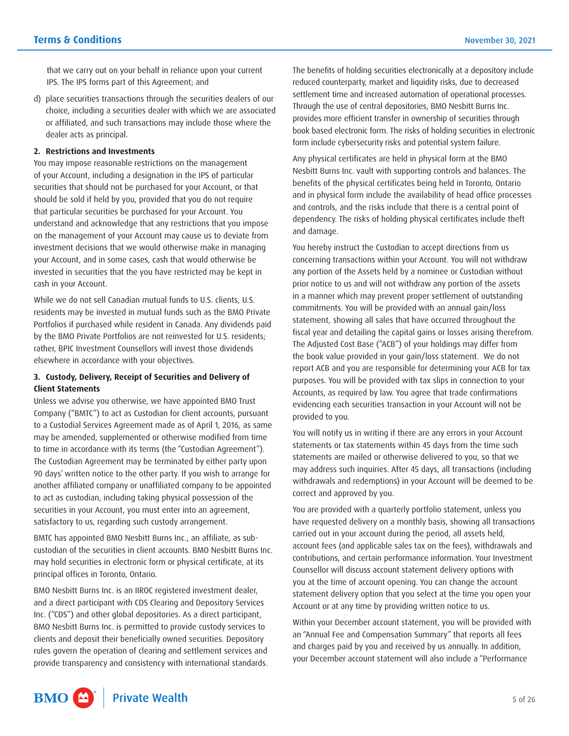that we carry out on your behalf in reliance upon your current IPS. The IPS forms part of this Agreement; and

 d) place securities transactions through the securities dealers of our choice, including a securities dealer with which we are associated or affiliated, and such transactions may include those where the dealer acts as principal.

#### **2. Restrictions and Investments**

 of your Account, including a designation in the IPS of particular securities that should not be purchased for your Account, or that that particular securities be purchased for your Account. You You may impose reasonable restrictions on the management should be sold if held by you, provided that you do not require understand and acknowledge that any restrictions that you impose on the management of your Account may cause us to deviate from investment decisions that we would otherwise make in managing your Account, and in some cases, cash that would otherwise be invested in securities that the you have restricted may be kept in cash in your Account.

While we do not sell Canadian mutual funds to U.S. clients, U.S. residents may be invested in mutual funds such as the BMO Private Portfolios if purchased while resident in Canada. Any dividends paid by the BMO Private Portfolios are not reinvested for U.S. residents; rather, BPIC Investment Counsellors will invest those dividends elsewhere in accordance with your objectives.

#### **3. Custody, Delivery, Receipt of Securities and Delivery of Client Statements**

 90 days' written notice to the other party. If you wish to arrange for Unless we advise you otherwise, we have appointed BMO Trust Company ("BMTC") to act as Custodian for client accounts, pursuant to a Custodial Services Agreement made as of April 1, 2016, as same may be amended, supplemented or otherwise modified from time to time in accordance with its terms (the "Custodian Agreement"). The Custodian Agreement may be terminated by either party upon another affiliated company or unaffiliated company to be appointed to act as custodian, including taking physical possession of the securities in your Account, you must enter into an agreement, satisfactory to us, regarding such custody arrangement.

BMTC has appointed BMO Nesbitt Burns Inc., an affiliate, as subcustodian of the securities in client accounts. BMO Nesbitt Burns Inc. may hold securities in electronic form or physical certificate, at its principal offices in Toronto, Ontario.

BMO Nesbitt Burns Inc. is an IIROC registered investment dealer, and a direct participant with CDS Clearing and Depository Services Inc. ("CDS") and other global depositories. As a direct participant, BMO Nesbitt Burns Inc. is permitted to provide custody services to clients and deposit their beneficially owned securities. Depository rules govern the operation of clearing and settlement services and provide transparency and consistency with international standards. The benefits of holding securities electronically at a depository include reduced counterparty, market and liquidity risks, due to decreased settlement time and increased automation of operational processes. Through the use of central depositories, BMO Nesbitt Burns Inc. provides more efficient transfer in ownership of securities through book based electronic form. The risks of holding securities in electronic form include cybersecurity risks and potential system failure.

Any physical certificates are held in physical form at the BMO Nesbitt Burns Inc. vault with supporting controls and balances. The benefits of the physical certificates being held in Toronto, Ontario and in physical form include the availability of head office processes and controls, and the risks include that there is a central point of dependency. The risks of holding physical certificates include theft and damage.

 concerning transactions within your Account. You will not withdraw You hereby instruct the Custodian to accept directions from us any portion of the Assets held by a nominee or Custodian without prior notice to us and will not withdraw any portion of the assets in a manner which may prevent proper settlement of outstanding commitments. You will be provided with an annual gain/loss statement, showing all sales that have occurred throughout the fiscal year and detailing the capital gains or losses arising therefrom. The Adjusted Cost Base ("ACB") of your holdings may differ from the book value provided in your gain/loss statement. We do not report ACB and you are responsible for determining your ACB for tax purposes. You will be provided with tax slips in connection to your Accounts, as required by law. You agree that trade confirmations evidencing each securities transaction in your Account will not be provided to you.

You will notify us in writing if there are any errors in your Account statements or tax statements within 45 days from the time such statements are mailed or otherwise delivered to you, so that we may address such inquiries. After 45 days, all transactions (including withdrawals and redemptions) in your Account will be deemed to be correct and approved by you.

You are provided with a quarterly portfolio statement, unless you have requested delivery on a monthly basis, showing all transactions carried out in your account during the period, all assets held, account fees (and applicable sales tax on the fees), withdrawals and contributions, and certain performance information. Your Investment Counsellor will discuss account statement delivery options with you at the time of account opening. You can change the account statement delivery option that you select at the time you open your Account or at any time by providing written notice to us.

Within your December account statement, you will be provided with an "Annual Fee and Compensation Summary" that reports all fees and charges paid by you and received by us annually. In addition, your December account statement will also include a "Performance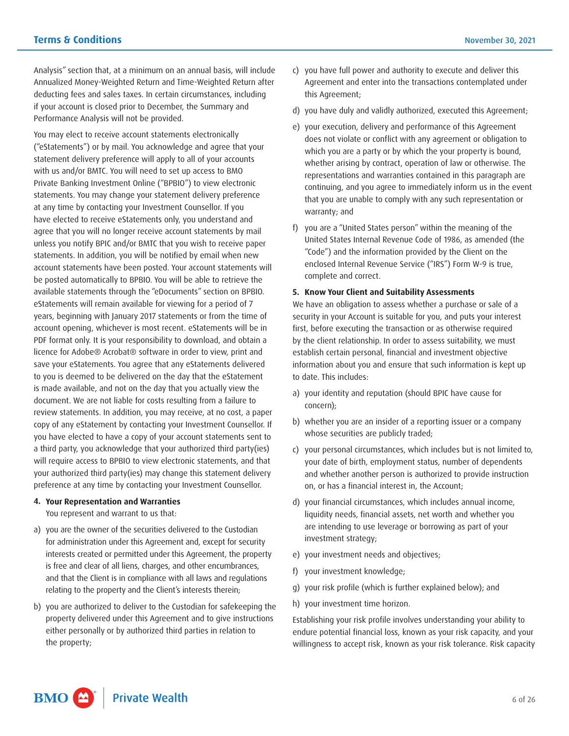Analysis" section that, at a minimum on an annual basis, will include Annualized Money-Weighted Return and Time-Weighted Return after deducting fees and sales taxes. In certain circumstances, including if your account is closed prior to December, the Summary and Performance Analysis will not be provided.

You may elect to receive account statements electronically ("eStatements") or by mail. You acknowledge and agree that your statement delivery preference will apply to all of your accounts with us and/or BMTC. You will need to set up access to BMO Private Banking Investment Online ("BPBIO") to view electronic statements. You may change your statement delivery preference at any time by contacting your Investment Counsellor. If you have elected to receive eStatements only, you understand and agree that you will no longer receive account statements by mail unless you notify BPIC and/or BMTC that you wish to receive paper statements. In addition, you will be notified by email when new account statements have been posted. Your account statements will be posted automatically to BPBIO. You will be able to retrieve the available statements through the "eDocuments" section on BPBIO. eStatements will remain available for viewing for a period of 7 years, beginning with January 2017 statements or from the time of account opening, whichever is most recent. eStatements will be in PDF format only. It is your responsibility to download, and obtain a licence for Adobe® Acrobat® software in order to view, print and save your eStatements. You agree that any eStatements delivered to you is deemed to be delivered on the day that the eStatement is made available, and not on the day that you actually view the document. We are not liable for costs resulting from a failure to review statements. In addition, you may receive, at no cost, a paper copy of any eStatement by contacting your Investment Counsellor. If you have elected to have a copy of your account statements sent to a third party, you acknowledge that your authorized third party(ies) will require access to BPBIO to view electronic statements, and that your authorized third party(ies) may change this statement delivery preference at any time by contacting your Investment Counsellor.

#### **4. Your Representation and Warranties**

You represent and warrant to us that:

- a) you are the owner of the securities delivered to the Custodian for administration under this Agreement and, except for security interests created or permitted under this Agreement, the property is free and clear of all liens, charges, and other encumbrances, and that the Client is in compliance with all laws and regulations relating to the property and the Client's interests therein;
- b) you are authorized to deliver to the Custodian for safekeeping the property delivered under this Agreement and to give instructions either personally or by authorized third parties in relation to the property;
- c) you have full power and authority to execute and deliver this Agreement and enter into the transactions contemplated under this Agreement;
- d) you have duly and validly authorized, executed this Agreement;
- that you are unable to comply with any such representation or e) your execution, delivery and performance of this Agreement does not violate or conflict with any agreement or obligation to which you are a party or by which the your property is bound, whether arising by contract, operation of law or otherwise. The representations and warranties contained in this paragraph are continuing, and you agree to immediately inform us in the event warranty; and
- f) you are a "United States person" within the meaning of the United States Internal Revenue Code of 1986, as amended (the "Code") and the information provided by the Client on the enclosed Internal Revenue Service ("IRS") Form W-9 is true, complete and correct.

#### **5. Know Your Client and Suitability Assessments**

 security in your Account is suitable for you, and puts your interest We have an obligation to assess whether a purchase or sale of a first, before executing the transaction or as otherwise required by the client relationship. In order to assess suitability, we must establish certain personal, financial and investment objective information about you and ensure that such information is kept up to date. This includes:

- a) your identity and reputation (should BPIC have cause for concern);
- b) whether you are an insider of a reporting issuer or a company whose securities are publicly traded;
- c) your personal circumstances, which includes but is not limited to, your date of birth, employment status, number of dependents and whether another person is authorized to provide instruction on, or has a financial interest in, the Account;
- d) your financial circumstances, which includes annual income, liquidity needs, financial assets, net worth and whether you are intending to use leverage or borrowing as part of your investment strategy;
- e) your investment needs and objectives;
- f) your investment knowledge;
- g) your risk profile (which is further explained below); and
- h) your investment time horizon.

Establishing your risk profile involves understanding your ability to endure potential financial loss, known as your risk capacity, and your willingness to accept risk, known as your risk tolerance. Risk capacity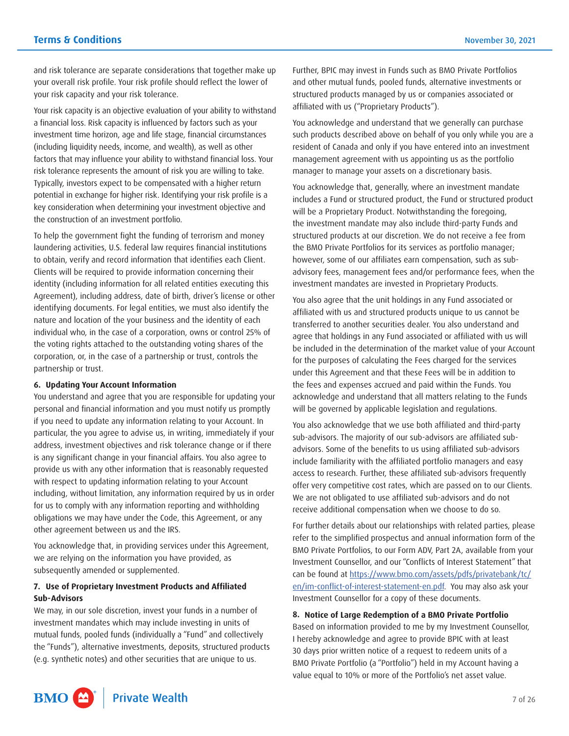and risk tolerance are separate considerations that together make up your overall risk profile. Your risk profile should reflect the lower of your risk capacity and your risk tolerance.

Your risk capacity is an objective evaluation of your ability to withstand a financial loss. Risk capacity is influenced by factors such as your investment time horizon, age and life stage, financial circumstances (including liquidity needs, income, and wealth), as well as other factors that may influence your ability to withstand financial loss. Your risk tolerance represents the amount of risk you are willing to take. Typically, investors expect to be compensated with a higher return potential in exchange for higher risk. Identifying your risk profile is a key consideration when determining your investment objective and the construction of an investment portfolio.

To help the government fight the funding of terrorism and money laundering activities, U.S. federal law requires financial institutions to obtain, verify and record information that identifies each Client. Clients will be required to provide information concerning their identity (including information for all related entities executing this Agreement), including address, date of birth, driver's license or other identifying documents. For legal entities, we must also identify the nature and location of the your business and the identity of each individual who, in the case of a corporation, owns or control 25% of the voting rights attached to the outstanding voting shares of the corporation, or, in the case of a partnership or trust, controls the partnership or trust.

#### **6. Updating Your Account Information**

You understand and agree that you are responsible for updating your personal and financial information and you must notify us promptly if you need to update any information relating to your Account. In particular, the you agree to advise us, in writing, immediately if your address, investment objectives and risk tolerance change or if there is any significant change in your financial affairs. You also agree to provide us with any other information that is reasonably requested with respect to updating information relating to your Account including, without limitation, any information required by us in order for us to comply with any information reporting and withholding obligations we may have under the Code, this Agreement, or any other agreement between us and the IRS.

You acknowledge that, in providing services under this Agreement, we are relying on the information you have provided, as subsequently amended or supplemented.

#### **7. Use of Proprietary Investment Products and Affiliated Sub- Advisors**

We may, in our sole discretion, invest your funds in a number of investment mandates which may include investing in units of mutual funds, pooled funds (individually a "Fund" and collectively the "Funds"), alternative investments, deposits, structured products (e.g. synthetic notes) and other securities that are unique to us.

Further, BPIC may invest in Funds such as BMO Private Portfolios and other mutual funds, pooled funds, alternative investments or structured products managed by us or companies associated or affiliated with us ("Proprietary Products").

You acknowledge and understand that we generally can purchase such products described above on behalf of you only while you are a resident of Canada and only if you have entered into an investment management agreement with us appointing us as the portfolio manager to manage your assets on a discretionary basis.

You acknowledge that, generally, where an investment mandate includes a Fund or structured product, the Fund or structured product will be a Proprietary Product. Notwithstanding the foregoing, the investment mandate may also include third-party Funds and structured products at our discretion. We do not receive a fee from the BMO Private Portfolios for its services as portfolio manager; however, some of our affiliates earn compensation, such as subadvisory fees, management fees and/or performance fees, when the investment mandates are invested in Proprietary Products.

You also agree that the unit holdings in any Fund associated or affiliated with us and structured products unique to us cannot be transferred to another securities dealer. You also understand and agree that holdings in any Fund associated or affiliated with us will be included in the determination of the market value of your Account for the purposes of calculating the Fees charged for the services under this Agreement and that these Fees will be in addition to the fees and expenses accrued and paid within the Funds. You acknowledge and understand that all matters relating to the Funds will be governed by applicable legislation and regulations.

 include familiarity with the affiliated portfolio managers and easy You also acknowledge that we use both affiliated and third-party sub-advisors. The majority of our sub-advisors are affiliated subadvisors. Some of the benefits to us using affiliated sub-advisors access to research. Further, these affiliated sub-advisors frequently offer very competitive cost rates, which are passed on to our Clients. We are not obligated to use affiliated sub-advisors and do not receive additional compensation when we choose to do so.

 For further details about our relationships with related parties, please refer to the simplified prospectus and annual information form of the BMO Private Portfolios, to our Form ADV, Part 2A, available from your Investment Counsellor, and our "Conflicts of Interest Statement" that can be found at [https://www.bmo.com/assets/pdfs/privatebank/tc/](https://www.bmo.com/assets/pdfs/privatebank/tc/en/im-conflict-of-interest-statement-en.pdf) [en/im-conflict-of-interest-statement-en.pdf](https://www.bmo.com/assets/pdfs/privatebank/tc/en/im-conflict-of-interest-statement-en.pdf). You may also ask your Investment Counsellor for a copy of these documents.

#### **8. Notice of Large Redemption of a BMO Private Portfolio**

Based on information provided to me by my Investment Counsellor, I hereby acknowledge and agree to provide BPIC with at least 30 days prior written notice of a request to redeem units of a BMO Private Portfolio (a "Portfolio") held in my Account having a value equal to 10% or more of the Portfolio's net asset value.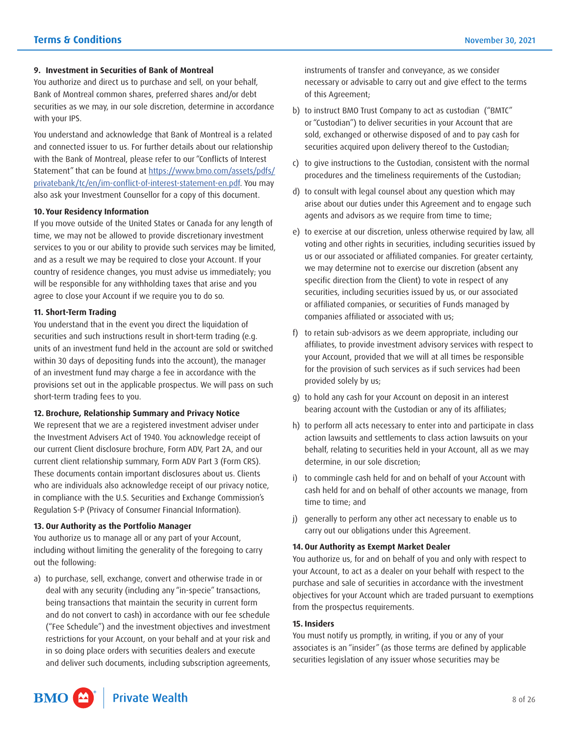#### **9. Investment in Securities of Bank of Montreal**

You authorize and direct us to purchase and sell, on your behalf, Bank of Montreal common shares, preferred shares and/or debt securities as we may, in our sole discretion, determine in accordance with your IPS.

You understand and acknowledge that Bank of Montreal is a related and connected issuer to us. For further details about our relationship with the Bank of Montreal, please refer to our "Conflicts of Interest Statement" that can be found at [https://www.bmo.com/assets/pdfs/](https://www.bmo.com/assets/pdfs/privatebank/tc/en/im-conflict-of-interest-statement-en.pdf) [privatebank/tc/en/im-conflict-of-interest-statement-en.pdf](https://www.bmo.com/assets/pdfs/privatebank/tc/en/im-conflict-of-interest-statement-en.pdf). You may also ask your Investment Counsellor for a copy of this document.

#### **10. Your Residency Information**

 and as a result we may be required to close your Account. If your If you move outside of the United States or Canada for any length of time, we may not be allowed to provide discretionary investment services to you or our ability to provide such services may be limited, country of residence changes, you must advise us immediately; you will be responsible for any withholding taxes that arise and you agree to close your Account if we require you to do so.

#### **11. Short-Term Trading**

You understand that in the event you direct the liquidation of securities and such instructions result in short-term trading (e.g. units of an investment fund held in the account are sold or switched within 30 days of depositing funds into the account), the manager of an investment fund may charge a fee in accordance with the provisions set out in the applicable prospectus. We will pass on such short-term trading fees to you.

#### **12. Brochure, Relationship Summary and Privacy Notice**

We represent that we are a registered investment adviser under the Investment Advisers Act of 1940. You acknowledge receipt of our current Client disclosure brochure, Form ADV, Part 2A, and our current client relationship summary, Form ADV Part 3 (Form CRS). These documents contain important disclosures about us. Clients who are individuals also acknowledge receipt of our privacy notice, in compliance with the U.S. Securities and Exchange Commission's Regulation S-P (Privacy of Consumer Financial Information).

#### **13. Our Authority as the Portfolio Manager**

You authorize us to manage all or any part of your Account, including without limiting the generality of the foregoing to carry out the following:

 a) to purchase, sell, exchange, convert and otherwise trade in or restrictions for your Account, on your behalf and at your risk and deal with any security (including any "in-specie" transactions, being transactions that maintain the security in current form and do not convert to cash) in accordance with our fee schedule ("Fee Schedule") and the investment objectives and investment in so doing place orders with securities dealers and execute and deliver such documents, including subscription agreements,

instruments of transfer and conveyance, as we consider necessary or advisable to carry out and give effect to the terms of this Agreement;

- b) to instruct BMO Trust Company to act as custodian ("BMTC" or "Custodian") to deliver securities in your Account that are sold, exchanged or otherwise disposed of and to pay cash for securities acquired upon delivery thereof to the Custodian;
- c) to give instructions to the Custodian, consistent with the normal procedures and the timeliness requirements of the Custodian;
- d) to consult with legal counsel about any question which may arise about our duties under this Agreement and to engage such agents and advisors as we require from time to time;
- e) to exercise at our discretion, unless otherwise required by law, all voting and other rights in securities, including securities issued by us or our associated or affiliated companies. For greater certainty, we may determine not to exercise our discretion (absent any specific direction from the Client) to vote in respect of any securities, including securities issued by us, or our associated or affiliated companies, or securities of Funds managed by companies affiliated or associated with us;
- f) to retain sub-advisors as we deem appropriate, including our affiliates, to provide investment advisory services with respect to your Account, provided that we will at all times be responsible for the provision of such services as if such services had been provided solely by us;
- g) to hold any cash for your Account on deposit in an interest bearing account with the Custodian or any of its affiliates;
- behalf, relating to securities held in your Account, all as we may h) to perform all acts necessary to enter into and participate in class action lawsuits and settlements to class action lawsuits on your determine, in our sole discretion;
- i) to commingle cash held for and on behalf of your Account with cash held for and on behalf of other accounts we manage, from time to time; and
- j) generally to perform any other act necessary to enable us to carry out our obligations under this Agreement.

#### **14. Our Authority as Exempt Market Dealer**

 objectives for your Account which are traded pursuant to exemptions You authorize us, for and on behalf of you and only with respect to your Account, to act as a dealer on your behalf with respect to the purchase and sale of securities in accordance with the investment from the prospectus requirements.

#### **15. Insiders**

You must notify us promptly, in writing, if you or any of your associates is an "insider" (as those terms are defined by applicable securities legislation of any issuer whose securities may be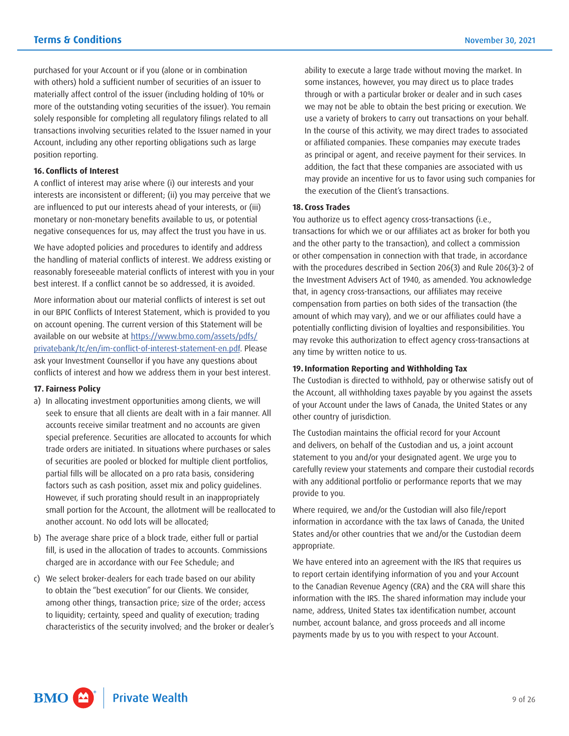purchased for your Account or if you (alone or in combination with others) hold a sufficient number of securities of an issuer to materially affect control of the issuer (including holding of 10% or more of the outstanding voting securities of the issuer). You remain solely responsible for completing all regulatory filings related to all transactions involving securities related to the Issuer named in your Account, including any other reporting obligations such as large position reporting.

#### **16. Conflicts of Interest**

A conflict of interest may arise where (i) our interests and your interests are inconsistent or different; (ii) you may perceive that we are influenced to put our interests ahead of your interests, or (iii) monetary or non-monetary benefits available to us, or potential negative consequences for us, may affect the trust you have in us.

We have adopted policies and procedures to identify and address the handling of material conflicts of interest. We address existing or reasonably foreseeable material conflicts of interest with you in your best interest. If a conflict cannot be so addressed, it is avoided.

More information about our material conflicts of interest is set out in our BPIC Conflicts of Interest Statement, which is provided to you on account opening. The current version of this Statement will be available on our website at [https://www.bmo.com/assets/pdfs/](https://www.bmo.com/assets/pdfs/privatebank/tc/en/im-conflict-of-interest-statement-en.pdf) [privatebank/tc/en/im-conflict-of-interest-statement-en.pdf](https://www.bmo.com/assets/pdfs/privatebank/tc/en/im-conflict-of-interest-statement-en.pdf). Please ask your Investment Counsellor if you have any questions about conflicts of interest and how we address them in your best interest.

#### **17. Fairness Policy**

- a) In allocating investment opportunities among clients, we will seek to ensure that all clients are dealt with in a fair manner. All accounts receive similar treatment and no accounts are given special preference. Securities are allocated to accounts for which trade orders are initiated. In situations where purchases or sales of securities are pooled or blocked for multiple client portfolios, partial fills will be allocated on a pro rata basis, considering factors such as cash position, asset mix and policy guidelines. However, if such prorating should result in an inappropriately small portion for the Account, the allotment will be reallocated to another account. No odd lots will be allocated;
- b) The average share price of a block trade, either full or partial fill, is used in the allocation of trades to accounts. Commissions charged are in accordance with our Fee Schedule; and
- c) We select broker-dealers for each trade based on our ability to obtain the "best execution" for our Clients. We consider, among other things, transaction price; size of the order; access to liquidity; certainty, speed and quality of execution; trading characteristics of the security involved; and the broker or dealer's

ability to execute a large trade without moving the market. In some instances, however, you may direct us to place trades through or with a particular broker or dealer and in such cases we may not be able to obtain the best pricing or execution. We use a variety of brokers to carry out transactions on your behalf. In the course of this activity, we may direct trades to associated or affiliated companies. These companies may execute trades as principal or agent, and receive payment for their services. In addition, the fact that these companies are associated with us may provide an incentive for us to favor using such companies for the execution of the Client's transactions.

#### **18. Cross Trades**

You authorize us to effect agency cross-transactions (i.e., transactions for which we or our affiliates act as broker for both you and the other party to the transaction), and collect a commission or other compensation in connection with that trade, in accordance with the procedures described in Section 206(3) and Rule 206(3)-2 of the Investment Advisers Act of 1940, as amended. You acknowledge that, in agency cross-transactions, our affiliates may receive compensation from parties on both sides of the transaction (the amount of which may vary), and we or our affiliates could have a potentially conflicting division of loyalties and responsibilities. You may revoke this authorization to effect agency cross-transactions at any time by written notice to us.

#### **19. Information Reporting and Withholding Tax**

 of your Account under the laws of Canada, the United States or any The Custodian is directed to withhold, pay or otherwise satisfy out of the Account, all withholding taxes payable by you against the assets other country of jurisdiction.

 The Custodian maintains the official record for your Account and delivers, on behalf of the Custodian and us, a joint account statement to you and/or your designated agent. We urge you to carefully review your statements and compare their custodial records with any additional portfolio or performance reports that we may provide to you.

Where required, we and/or the Custodian will also file/report information in accordance with the tax laws of Canada, the United States and/or other countries that we and/or the Custodian deem appropriate.

We have entered into an agreement with the IRS that requires us to report certain identifying information of you and your Account to the Canadian Revenue Agency (CRA) and the CRA will share this information with the IRS. The shared information may include your name, address, United States tax identification number, account number, account balance, and gross proceeds and all income payments made by us to you with respect to your Account.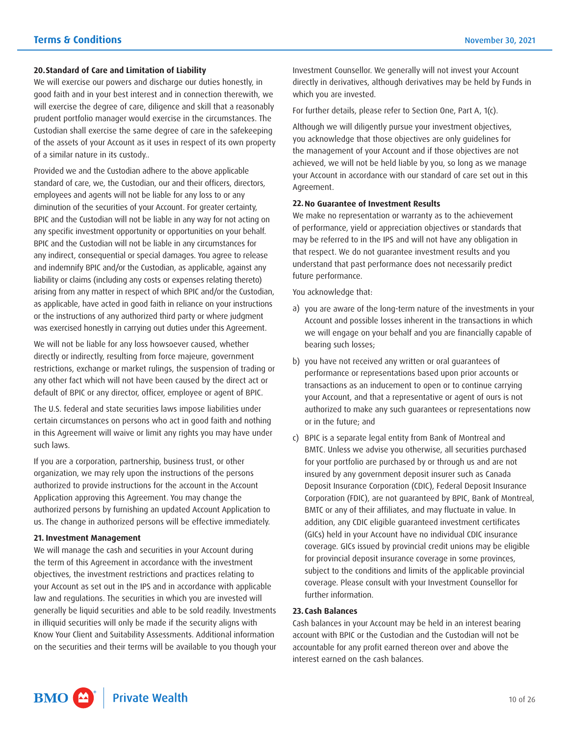#### **20.Standard of Care and Limitation of Liability**

 of the assets of your Account as it uses in respect of its own property We will exercise our powers and discharge our duties honestly, in good faith and in your best interest and in connection therewith, we will exercise the degree of care, diligence and skill that a reasonably prudent portfolio manager would exercise in the circumstances. The Custodian shall exercise the same degree of care in the safekeeping of a similar nature in its custody..

 diminution of the securities of your Account. For greater certainty, BPIC and the Custodian will not be liable in any way for not acting on or the instructions of any authorized third party or where judgment Provided we and the Custodian adhere to the above applicable standard of care, we, the Custodian, our and their officers, directors, employees and agents will not be liable for any loss to or any any specific investment opportunity or opportunities on your behalf. BPIC and the Custodian will not be liable in any circumstances for any indirect, consequential or special damages. You agree to release and indemnify BPIC and/or the Custodian, as applicable, against any liability or claims (including any costs or expenses relating thereto) arising from any matter in respect of which BPIC and/or the Custodian, as applicable, have acted in good faith in reliance on your instructions was exercised honestly in carrying out duties under this Agreement.

We will not be liable for any loss howsoever caused, whether directly or indirectly, resulting from force majeure, government restrictions, exchange or market rulings, the suspension of trading or any other fact which will not have been caused by the direct act or default of BPIC or any director, officer, employee or agent of BPIC.

The U.S. federal and state securities laws impose liabilities under certain circumstances on persons who act in good faith and nothing in this Agreement will waive or limit any rights you may have under such laws.

If you are a corporation, partnership, business trust, or other organization, we may rely upon the instructions of the persons authorized to provide instructions for the account in the Account Application approving this Agreement. You may change the authorized persons by furnishing an updated Account Application to us. The change in authorized persons will be effective immediately.

#### **21. Investment Management**

 Know Your Client and Suitability Assessments. Additional information We will manage the cash and securities in your Account during the term of this Agreement in accordance with the investment objectives, the investment restrictions and practices relating to your Account as set out in the IPS and in accordance with applicable law and regulations. The securities in which you are invested will generally be liquid securities and able to be sold readily. Investments in illiquid securities will only be made if the security aligns with on the securities and their terms will be available to you though your

 Investment Counsellor. We generally will not invest your Account directly in derivatives, although derivatives may be held by Funds in which you are invested.

For further details, please refer to Section One, Part A, 1(c).

Although we will diligently pursue your investment objectives, you acknowledge that those objectives are only guidelines for the management of your Account and if those objectives are not achieved, we will not be held liable by you, so long as we manage your Account in accordance with our standard of care set out in this Agreement.

#### **22.No Guarantee of Investment Results**

We make no representation or warranty as to the achievement of performance, yield or appreciation objectives or standards that may be referred to in the IPS and will not have any obligation in that respect. We do not guarantee investment results and you understand that past performance does not necessarily predict future performance.

You acknowledge that:

- a) you are aware of the long-term nature of the investments in your Account and possible losses inherent in the transactions in which we will engage on your behalf and you are financially capable of bearing such losses;
- b) you have not received any written or oral guarantees of performance or representations based upon prior accounts or transactions as an inducement to open or to continue carrying your Account, and that a representative or agent of ours is not authorized to make any such guarantees or representations now or in the future; and
- c) BPIC is a separate legal entity from Bank of Montreal and BMTC. Unless we advise you otherwise, all securities purchased for your portfolio are purchased by or through us and are not insured by any government deposit insurer such as Canada Deposit Insurance Corporation (CDIC), Federal Deposit Insurance Corporation (FDIC), are not guaranteed by BPIC, Bank of Montreal, BMTC or any of their affiliates, and may fluctuate in value. In addition, any CDIC eligible guaranteed investment certificates (GICs) held in your Account have no individual CDIC insurance coverage. GICs issued by provincial credit unions may be eligible for provincial deposit insurance coverage in some provinces, subject to the conditions and limits of the applicable provincial coverage. Please consult with your Investment Counsellor for further information.

#### **23. Cash Balances**

Cash balances in your Account may be held in an interest bearing account with BPIC or the Custodian and the Custodian will not be accountable for any profit earned thereon over and above the interest earned on the cash balances.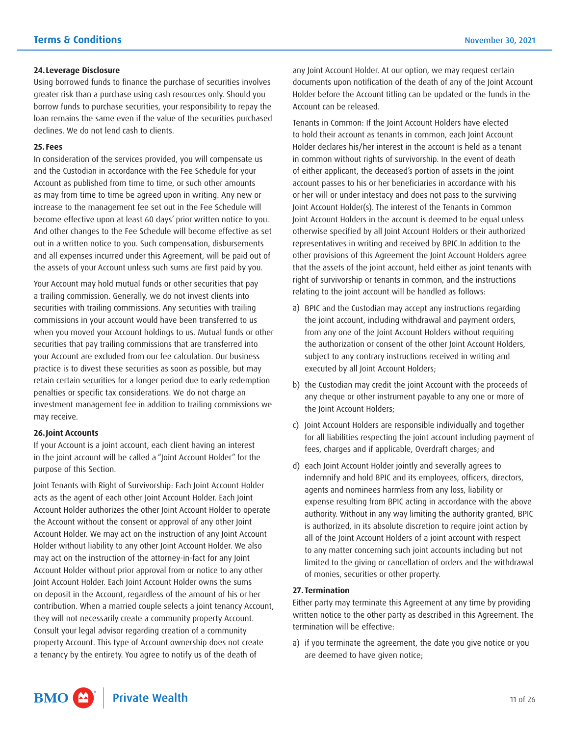#### **24.Leverage Disclosure**

Using borrowed funds to finance the purchase of securities involves greater risk than a purchase using cash resources only. Should you borrow funds to purchase securities, your responsibility to repay the loan remains the same even if the value of the securities purchased declines. We do not lend cash to clients.

#### **25. Fees**

 and the Custodian in accordance with the Fee Schedule for your the assets of your Account unless such sums are first paid by you. In consideration of the services provided, you will compensate us Account as published from time to time, or such other amounts as may from time to time be agreed upon in writing. Any new or increase to the management fee set out in the Fee Schedule will become effective upon at least 60 days' prior written notice to you. And other changes to the Fee Schedule will become effective as set out in a written notice to you. Such compensation, disbursements and all expenses incurred under this Agreement, will be paid out of

 Your Account may hold mutual funds or other securities that pay when you moved your Account holdings to us. Mutual funds or other a trailing commission. Generally, we do not invest clients into securities with trailing commissions. Any securities with trailing commissions in your account would have been transferred to us securities that pay trailing commissions that are transferred into your Account are excluded from our fee calculation. Our business practice is to divest these securities as soon as possible, but may retain certain securities for a longer period due to early redemption penalties or specific tax considerations. We do not charge an investment management fee in addition to trailing commissions we may receive.

#### **26.Joint Accounts**

If your Account is a joint account, each client having an interest in the joint account will be called a "Joint Account Holder" for the purpose of this Section.

 Account Holder without prior approval from or notice to any other they will not necessarily create a community property Account. Joint Tenants with Right of Survivorship: Each Joint Account Holder acts as the agent of each other Joint Account Holder. Each Joint Account Holder authorizes the other Joint Account Holder to operate the Account without the consent or approval of any other Joint Account Holder. We may act on the instruction of any Joint Account Holder without liability to any other Joint Account Holder. We also may act on the instruction of the attorney-in-fact for any Joint Joint Account Holder. Each Joint Account Holder owns the sums on deposit in the Account, regardless of the amount of his or her contribution. When a married couple selects a joint tenancy Account, Consult your legal advisor regarding creation of a community property Account. This type of Account ownership does not create a tenancy by the entirety. You agree to notify us of the death of

any Joint Account Holder. At our option, we may request certain documents upon notification of the death of any of the Joint Account Holder before the Account titling can be updated or the funds in the Account can be released.

Tenants in Common: If the Joint Account Holders have elected to hold their account as tenants in common, each Joint Account Holder declares his/her interest in the account is held as a tenant in common without rights of survivorship. In the event of death of either applicant, the deceased's portion of assets in the joint account passes to his or her beneficiaries in accordance with his or her will or under intestacy and does not pass to the surviving Joint Account Holder(s). The interest of the Tenants in Common Joint Account Holders in the account is deemed to be equal unless otherwise specified by all Joint Account Holders or their authorized representatives in writing and received by BPIC.In addition to the other provisions of this Agreement the Joint Account Holders agree that the assets of the joint account, held either as joint tenants with right of survivorship or tenants in common, and the instructions relating to the joint account will be handled as follows:

- a) BPIC and the Custodian may accept any instructions regarding the joint account, including withdrawal and payment orders, from any one of the Joint Account Holders without requiring the authorization or consent of the other Joint Account Holders, subject to any contrary instructions received in writing and executed by all Joint Account Holders;
- b) the Custodian may credit the joint Account with the proceeds of any cheque or other instrument payable to any one or more of the Joint Account Holders;
- c) Joint Account Holders are responsible individually and together for all liabilities respecting the joint account including payment of fees, charges and if applicable, Overdraft charges; and
- d) each Joint Account Holder jointly and severally agrees to indemnify and hold BPIC and its employees, officers, directors, agents and nominees harmless from any loss, liability or expense resulting from BPIC acting in accordance with the above authority. Without in any way limiting the authority granted, BPIC is authorized, in its absolute discretion to require joint action by all of the Joint Account Holders of a joint account with respect to any matter concerning such joint accounts including but not limited to the giving or cancellation of orders and the withdrawal of monies, securities or other property.

#### **27. Termination**

Either party may terminate this Agreement at any time by providing written notice to the other party as described in this Agreement. The termination will be effective:

 a) if you terminate the agreement, the date you give notice or you are deemed to have given notice;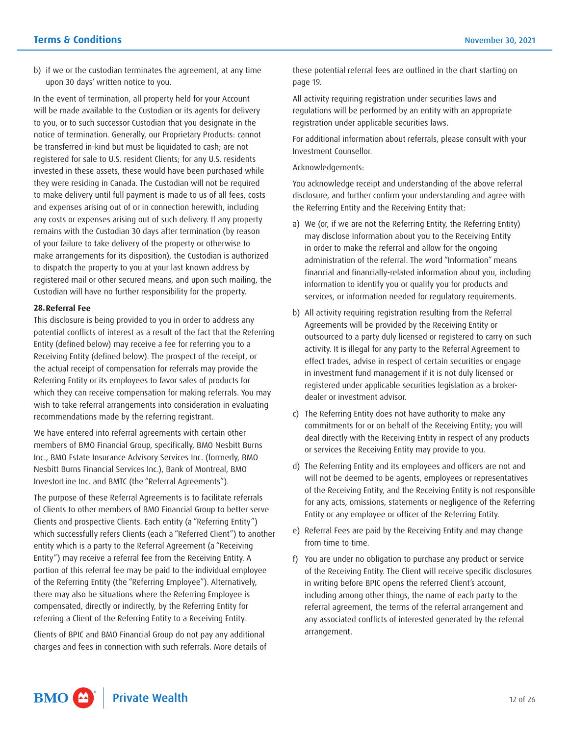b) if we or the custodian terminates the agreement, at any time upon 30 days' written notice to you.

 In the event of termination, all property held for your Account will be made available to the Custodian or its agents for delivery to you, or to such successor Custodian that you designate in the notice of termination. Generally, our Proprietary Products: cannot be transferred in-kind but must be liquidated to cash; are not registered for sale to U.S. resident Clients; for any U.S. residents invested in these assets, these would have been purchased while they were residing in Canada. The Custodian will not be required to make delivery until full payment is made to us of all fees, costs and expenses arising out of or in connection herewith, including any costs or expenses arising out of such delivery. If any property remains with the Custodian 30 days after termination (by reason of your failure to take delivery of the property or otherwise to make arrangements for its disposition), the Custodian is authorized to dispatch the property to you at your last known address by registered mail or other secured means, and upon such mailing, the Custodian will have no further responsibility for the property.

#### **28.Referral Fee**

This disclosure is being provided to you in order to address any potential conflicts of interest as a result of the fact that the Referring Entity (defined below) may receive a fee for referring you to a Receiving Entity (defined below). The prospect of the receipt, or the actual receipt of compensation for referrals may provide the Referring Entity or its employees to favor sales of products for which they can receive compensation for making referrals. You may wish to take referral arrangements into consideration in evaluating recommendations made by the referring registrant.

We have entered into referral agreements with certain other members of BMO Financial Group, specifically, BMO Nesbitt Burns Inc., BMO Estate Insurance Advisory Services Inc. (formerly, BMO Nesbitt Burns Financial Services Inc.), Bank of Montreal, BMO InvestorLine Inc. and BMTC (the "Referral Agreements").

The purpose of these Referral Agreements is to facilitate referrals of Clients to other members of BMO Financial Group to better serve Clients and prospective Clients. Each entity (a "Referring Entity") which successfully refers Clients (each a "Referred Client") to another entity which is a party to the Referral Agreement (a "Receiving Entity") may receive a referral fee from the Receiving Entity. A portion of this referral fee may be paid to the individual employee of the Referring Entity (the "Referring Employee"). Alternatively, there may also be situations where the Referring Employee is compensated, directly or indirectly, by the Referring Entity for referring a Client of the Referring Entity to a Receiving Entity.

Clients of BPIC and BMO Financial Group do not pay any additional charges and fees in connection with such referrals. More details of these potential referral fees are outlined in the chart starting on page 19.

All activity requiring registration under securities laws and regulations will be performed by an entity with an appropriate registration under applicable securities laws.

For additional information about referrals, please consult with your Investment Counsellor.

Acknowledgements:

You acknowledge receipt and understanding of the above referral disclosure, and further confirm your understanding and agree with the Referring Entity and the Receiving Entity that:

- information to identify you or qualify you for products and a) We (or, if we are not the Referring Entity, the Referring Entity) may disclose Information about you to the Receiving Entity in order to make the referral and allow for the ongoing administration of the referral. The word "Information" means financial and financially-related information about you, including services, or information needed for regulatory requirements.
- b) All activity requiring registration resulting from the Referral Agreements will be provided by the Receiving Entity or outsourced to a party duly licensed or registered to carry on such activity. It is illegal for any party to the Referral Agreement to effect trades, advise in respect of certain securities or engage in investment fund management if it is not duly licensed or registered under applicable securities legislation as a brokerdealer or investment advisor.
- c) The Referring Entity does not have authority to make any commitments for or on behalf of the Receiving Entity; you will deal directly with the Receiving Entity in respect of any products or services the Receiving Entity may provide to you.
- d) The Referring Entity and its employees and officers are not and will not be deemed to be agents, employees or representatives of the Receiving Entity, and the Receiving Entity is not responsible for any acts, omissions, statements or negligence of the Referring Entity or any employee or officer of the Referring Entity.
- e) Referral Fees are paid by the Receiving Entity and may change from time to time.
- f) You are under no obligation to purchase any product or service of the Receiving Entity. The Client will receive specific disclosures in writing before BPIC opens the referred Client's account, including among other things, the name of each party to the referral agreement, the terms of the referral arrangement and any associated conflicts of interested generated by the referral arrangement.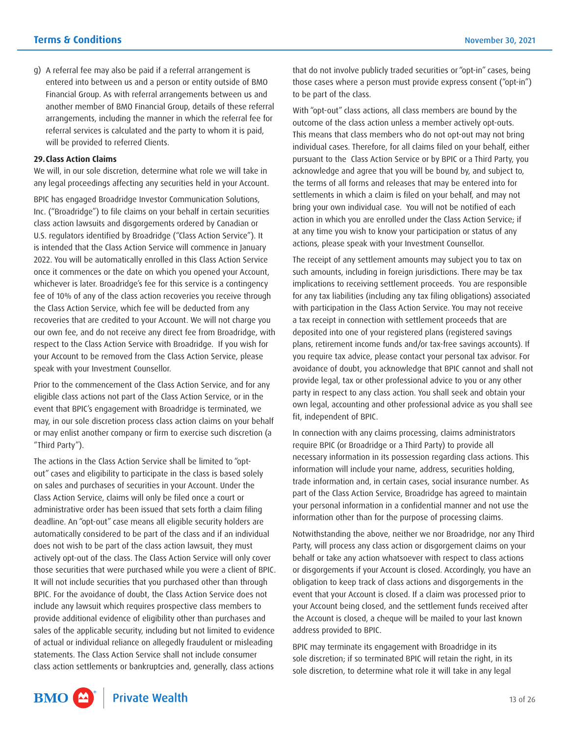g) A referral fee may also be paid if a referral arrangement is entered into between us and a person or entity outside of BMO Financial Group. As with referral arrangements between us and another member of BMO Financial Group, details of these referral arrangements, including the manner in which the referral fee for referral services is calculated and the party to whom it is paid, will be provided to referred Clients.

#### **29.Class Action Claims**

We will, in our sole discretion, determine what role we will take in any legal proceedings affecting any securities held in your Account.

BPIC has engaged Broadridge Investor Communication Solutions, Inc. ("Broadridge") to file claims on your behalf in certain securities class action lawsuits and disgorgements ordered by Canadian or U.S. regulators identified by Broadridge ("Class Action Service"). It is intended that the Class Action Service will commence in January 2022. You will be automatically enrolled in this Class Action Service once it commences or the date on which you opened your Account, whichever is later. Broadridge's fee for this service is a contingency fee of 10% of any of the class action recoveries you receive through the Class Action Service, which fee will be deducted from any recoveries that are credited to your Account. We will not charge you our own fee, and do not receive any direct fee from Broadridge, with respect to the Class Action Service with Broadridge. If you wish for your Account to be removed from the Class Action Service, please speak with your Investment Counsellor.

Prior to the commencement of the Class Action Service, and for any eligible class actions not part of the Class Action Service, or in the event that BPIC's engagement with Broadridge is terminated, we may, in our sole discretion process class action claims on your behalf or may enlist another company or firm to exercise such discretion (a "Third Party").

The actions in the Class Action Service shall be limited to "optout" cases and eligibility to participate in the class is based solely on sales and purchases of securities in your Account. Under the Class Action Service, claims will only be filed once a court or administrative order has been issued that sets forth a claim filing deadline. An "opt-out" case means all eligible security holders are automatically considered to be part of the class and if an individual does not wish to be part of the class action lawsuit, they must actively opt-out of the class. The Class Action Service will only cover those securities that were purchased while you were a client of BPIC. It will not include securities that you purchased other than through BPIC. For the avoidance of doubt, the Class Action Service does not include any lawsuit which requires prospective class members to provide additional evidence of eligibility other than purchases and sales of the applicable security, including but not limited to evidence of actual or individual reliance on allegedly fraudulent or misleading statements. The Class Action Service shall not include consumer class action settlements or bankruptcies and, generally, class actions

that do not involve publicly traded securities or "opt-in" cases, being those cases where a person must provide express consent ("opt-in") to be part of the class.

 at any time you wish to know your participation or status of any With "opt-out" class actions, all class members are bound by the outcome of the class action unless a member actively opt-outs. This means that class members who do not opt-out may not bring individual cases. Therefore, for all claims filed on your behalf, either pursuant to the Class Action Service or by BPIC or a Third Party, you acknowledge and agree that you will be bound by, and subject to, the terms of all forms and releases that may be entered into for settlements in which a claim is filed on your behalf, and may not bring your own individual case. You will not be notified of each action in which you are enrolled under the Class Action Service; if actions, please speak with your Investment Counsellor.

The receipt of any settlement amounts may subject you to tax on such amounts, including in foreign jurisdictions. There may be tax implications to receiving settlement proceeds. You are responsible for any tax liabilities (including any tax filing obligations) associated with participation in the Class Action Service. You may not receive a tax receipt in connection with settlement proceeds that are deposited into one of your registered plans (registered savings plans, retirement income funds and/or tax-free savings accounts). If you require tax advice, please contact your personal tax advisor. For avoidance of doubt, you acknowledge that BPIC cannot and shall not provide legal, tax or other professional advice to you or any other party in respect to any class action. You shall seek and obtain your own legal, accounting and other professional advice as you shall see fit, independent of BPIC.

In connection with any claims processing, claims administrators require BPIC (or Broadridge or a Third Party) to provide all necessary information in its possession regarding class actions. This information will include your name, address, securities holding, trade information and, in certain cases, social insurance number. As part of the Class Action Service, Broadridge has agreed to maintain your personal information in a confidential manner and not use the information other than for the purpose of processing claims.

 Notwithstanding the above, neither we nor Broadridge, nor any Third your Account being closed, and the settlement funds received after Party, will process any class action or disgorgement claims on your behalf or take any action whatsoever with respect to class actions or disgorgements if your Account is closed. Accordingly, you have an obligation to keep track of class actions and disgorgements in the event that your Account is closed. If a claim was processed prior to the Account is closed, a cheque will be mailed to your last known address provided to BPIC.

BPIC may terminate its engagement with Broadridge in its sole discretion; if so terminated BPIC will retain the right, in its sole discretion, to determine what role it will take in any legal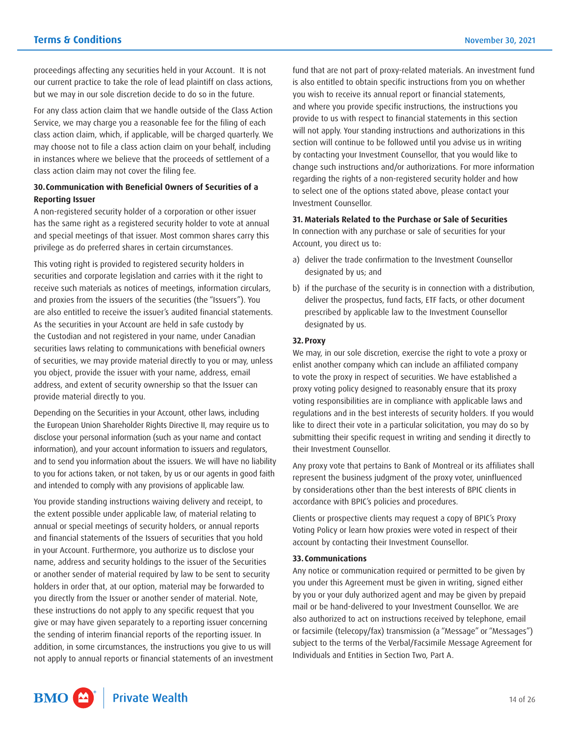proceedings affecting any securities held in your Account. It is not our current practice to take the role of lead plaintiff on class actions, but we may in our sole discretion decide to do so in the future.

For any class action claim that we handle outside of the Class Action Service, we may charge you a reasonable fee for the filing of each class action claim, which, if applicable, will be charged quarterly. We may choose not to file a class action claim on your behalf, including in instances where we believe that the proceeds of settlement of a class action claim may not cover the filing fee.

#### **30.Communication with Beneficial Owners of Securities of a Reporting Issuer**

A non-registered security holder of a corporation or other issuer has the same right as a registered security holder to vote at annual and special meetings of that issuer. Most common shares carry this privilege as do preferred shares in certain circumstances.

 As the securities in your Account are held in safe custody by This voting right is provided to registered security holders in securities and corporate legislation and carries with it the right to receive such materials as notices of meetings, information circulars, and proxies from the issuers of the securities (the "Issuers"). You are also entitled to receive the issuer's audited financial statements. the Custodian and not registered in your name, under Canadian securities laws relating to communications with beneficial owners of securities, we may provide material directly to you or may, unless you object, provide the issuer with your name, address, email address, and extent of security ownership so that the Issuer can provide material directly to you.

 Depending on the Securities in your Account, other laws, including the European Union Shareholder Rights Directive II, may require us to disclose your personal information (such as your name and contact information), and your account information to issuers and regulators, and to send you information about the issuers. We will have no liability to you for actions taken, or not taken, by us or our agents in good faith and intended to comply with any provisions of applicable law.

 in your Account. Furthermore, you authorize us to disclose your You provide standing instructions waiving delivery and receipt, to the extent possible under applicable law, of material relating to annual or special meetings of security holders, or annual reports and financial statements of the Issuers of securities that you hold name, address and security holdings to the issuer of the Securities or another sender of material required by law to be sent to security holders in order that, at our option, material may be forwarded to you directly from the Issuer or another sender of material. Note, these instructions do not apply to any specific request that you give or may have given separately to a reporting issuer concerning the sending of interim financial reports of the reporting issuer. In addition, in some circumstances, the instructions you give to us will not apply to annual reports or financial statements of an investment fund that are not part of proxy-related materials. An investment fund is also entitled to obtain specific instructions from you on whether you wish to receive its annual report or financial statements, and where you provide specific instructions, the instructions you provide to us with respect to financial statements in this section will not apply. Your standing instructions and authorizations in this section will continue to be followed until you advise us in writing by contacting your Investment Counsellor, that you would like to change such instructions and/or authorizations. For more information regarding the rights of a non-registered security holder and how to select one of the options stated above, please contact your Investment Counsellor.

#### **31. Materials Related to the Purchase or Sale of Securities**

 In connection with any purchase or sale of securities for your Account, you direct us to:

- a) deliver the trade confirmation to the Investment Counsellor designated by us; and
- b) if the purchase of the security is in connection with a distribution, deliver the prospectus, fund facts, ETF facts, or other document prescribed by applicable law to the Investment Counsellor designated by us.

#### **32.Proxy**

 enlist another company which can include an affiliated company proxy voting policy designed to reasonably ensure that its proxy like to direct their vote in a particular solicitation, you may do so by We may, in our sole discretion, exercise the right to vote a proxy or to vote the proxy in respect of securities. We have established a voting responsibilities are in compliance with applicable laws and regulations and in the best interests of security holders. If you would submitting their specific request in writing and sending it directly to their Investment Counsellor.

Any proxy vote that pertains to Bank of Montreal or its affiliates shall represent the business judgment of the proxy voter, uninfluenced by considerations other than the best interests of BPIC clients in accordance with BPIC's policies and procedures.

Clients or prospective clients may request a copy of BPIC's Proxy Voting Policy or learn how proxies were voted in respect of their account by contacting their Investment Counsellor.

#### **33. Communications**

 by you or your duly authorized agent and may be given by prepaid Any notice or communication required or permitted to be given by you under this Agreement must be given in writing, signed either mail or be hand-delivered to your Investment Counsellor. We are also authorized to act on instructions received by telephone, email or facsimile (telecopy/fax) transmission (a "Message" or "Messages") subject to the terms of the Verbal/Facsimile Message Agreement for Individuals and Entities in Section Two, Part A.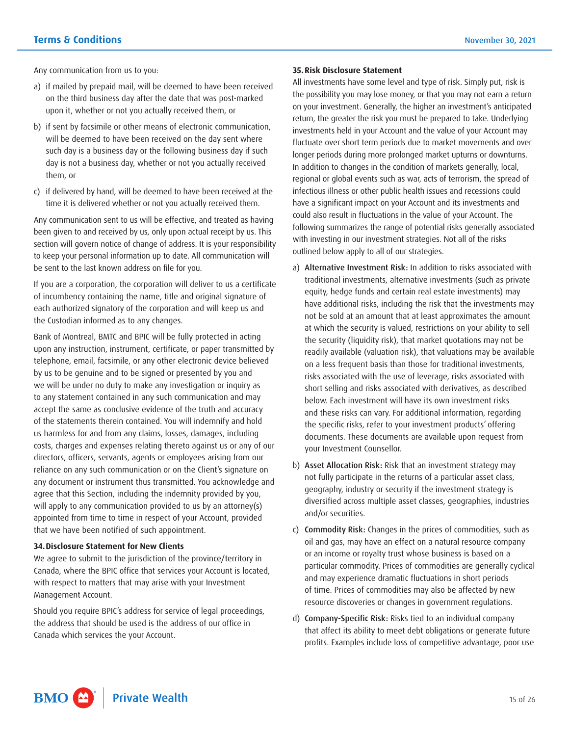Any communication from us to you:

- a) if mailed by prepaid mail, will be deemed to have been received on the third business day after the date that was post-marked upon it, whether or not you actually received them, or
- b) if sent by facsimile or other means of electronic communication, will be deemed to have been received on the day sent where such day is a business day or the following business day if such day is not a business day, whether or not you actually received them, or
- c) if delivered by hand, will be deemed to have been received at the time it is delivered whether or not you actually received them.

Any communication sent to us will be effective, and treated as having been given to and received by us, only upon actual receipt by us. This section will govern notice of change of address. It is your responsibility to keep your personal information up to date. All communication will be sent to the last known address on file for you.

If you are a corporation, the corporation will deliver to us a certificate of incumbency containing the name, title and original signature of each authorized signatory of the corporation and will keep us and the Custodian informed as to any changes.

Bank of Montreal, BMTC and BPIC will be fully protected in acting upon any instruction, instrument, certificate, or paper transmitted by telephone, email, facsimile, or any other electronic device believed by us to be genuine and to be signed or presented by you and we will be under no duty to make any investigation or inquiry as to any statement contained in any such communication and may accept the same as conclusive evidence of the truth and accuracy of the statements therein contained. You will indemnify and hold us harmless for and from any claims, losses, damages, including costs, charges and expenses relating thereto against us or any of our directors, officers, servants, agents or employees arising from our reliance on any such communication or on the Client's signature on any document or instrument thus transmitted. You acknowledge and agree that this Section, including the indemnity provided by you, will apply to any communication provided to us by an attorney(s) appointed from time to time in respect of your Account, provided that we have been notified of such appointment.

#### **34.Disclosure Statement for New Clients**

We agree to submit to the jurisdiction of the province/territory in Canada, where the BPIC office that services your Account is located, with respect to matters that may arise with your Investment Management Account.

Should you require BPIC's address for service of legal proceedings, the address that should be used is the address of our office in Canada which services the your Account.

#### **35.Risk Disclosure Statement**

 the possibility you may lose money, or that you may not earn a return investments held in your Account and the value of your Account may have a significant impact on your Account and its investments and could also result in fluctuations in the value of your Account. The All investments have some level and type of risk. Simply put, risk is on your investment. Generally, the higher an investment's anticipated return, the greater the risk you must be prepared to take. Underlying fluctuate over short term periods due to market movements and over longer periods during more prolonged market upturns or downturns. In addition to changes in the condition of markets generally, local, regional or global events such as war, acts of terrorism, the spread of infectious illness or other public health issues and recessions could following summarizes the range of potential risks generally associated with investing in our investment strategies. Not all of the risks outlined below apply to all of our strategies.

- a) Alternative Investment Risk: In addition to risks associated with traditional investments, alternative investments (such as private equity, hedge funds and certain real estate investments) may have additional risks, including the risk that the investments may not be sold at an amount that at least approximates the amount at which the security is valued, restrictions on your ability to sell the security (liquidity risk), that market quotations may not be readily available (valuation risk), that valuations may be available on a less frequent basis than those for traditional investments, risks associated with the use of leverage, risks associated with short selling and risks associated with derivatives, as described below. Each investment will have its own investment risks and these risks can vary. For additional information, regarding the specific risks, refer to your investment products' offering documents. These documents are available upon request from your Investment Counsellor.
- b) Asset Allocation Risk: Risk that an investment strategy may not fully participate in the returns of a particular asset class, geography, industry or security if the investment strategy is diversified across multiple asset classes, geographies, industries and/or securities.
- c) Commodity Risk: Changes in the prices of commodities, such as oil and gas, may have an effect on a natural resource company or an income or royalty trust whose business is based on a particular commodity. Prices of commodities are generally cyclical and may experience dramatic fluctuations in short periods of time. Prices of commodities may also be affected by new resource discoveries or changes in government regulations.
- d) Company-Specific Risk: Risks tied to an individual company that affect its ability to meet debt obligations or generate future profits. Examples include loss of competitive advantage, poor use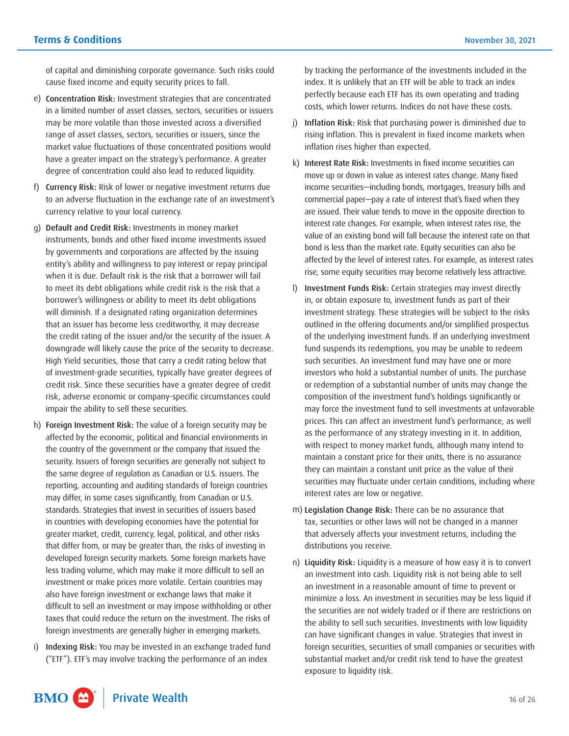of capital and diminishing corporate governance. Such risks could cause fixed income and equity security prices to fall.

- e) Concentration Risk: Investment strategies that are concentrated in a limited number of asset classes, sectors, securities or issuers may be more volatile than those invested across a diversified range of asset classes, sectors, securities or issuers, since the market value fluctuations of those concentrated positions would have a greater impact on the strategy's performance. A greater degree of concentration could also lead to reduced liquidity.
- f) Currency Risk: Risk of lower or negative investment returns due to an adverse fluctuation in the exchange rate of an investment's currency relative to your local currency.
- g) Default and Credit Risk: Investments in money market instruments, bonds and other fixed income investments issued by governments and corporations are affected by the issuing entity's ability and willingness to pay interest or repay principal when it is due. Default risk is the risk that a borrower will fail to meet its debt obligations while credit risk is the risk that a borrower's willingness or ability to meet its debt obligations will diminish. If a designated rating organization determines that an issuer has become less creditworthy, it may decrease the credit rating of the issuer and/or the security of the issuer. A downgrade will likely cause the price of the security to decrease. High Yield securities, those that carry a credit rating below that of investment-grade securities, typically have greater degrees of credit risk. Since these securities have a greater degree of credit risk, adverse economic or company-specific circumstances could impair the ability to sell these securities.
- h) Foreign Investment Risk: The value of a foreign security may be affected by the economic, political and financial environments in the country of the government or the company that issued the security. Issuers of foreign securities are generally not subject to the same degree of regulation as Canadian or U.S. issuers. The reporting, accounting and auditing standards of foreign countries may differ, in some cases significantly, from Canadian or U.S. standards. Strategies that invest in securities of issuers based in countries with developing economies have the potential for greater market, credit, currency, legal, political, and other risks that differ from, or may be greater than, the risks of investing in developed foreign security markets. Some foreign markets have less trading volume, which may make it more difficult to sell an investment or make prices more volatile. Certain countries may also have foreign investment or exchange laws that make it difficult to sell an investment or may impose withholding or other taxes that could reduce the return on the investment. The risks of foreign investments are generally higher in emerging markets.
- i) Indexing Risk: You may be invested in an exchange traded fund ("ETF"). ETF's may involve tracking the performance of an index

by tracking the performance of the investments included in the index. It is unlikely that an ETF will be able to track an index perfectly because each ETF has its own operating and trading costs, which lower returns. Indices do not have these costs.

- j) Inflation Risk: Risk that purchasing power is diminished due to rising inflation. This is prevalent in fixed income markets when inflation rises higher than expected.
- k) Interest Rate Risk: Investments in fixed income securities can move up or down in value as interest rates change. Many fixed income securities—including bonds, mortgages, treasury bills and commercial paper—pay a rate of interest that's fixed when they are issued. Their value tends to move in the opposite direction to interest rate changes. For example, when interest rates rise, the value of an existing bond will fall because the interest rate on that bond is less than the market rate. Equity securities can also be affected by the level of interest rates. For example, as interest rates rise, some equity securities may become relatively less attractive.
- l) Investment Funds Risk: Certain strategies may invest directly in, or obtain exposure to, investment funds as part of their investment strategy. These strategies will be subject to the risks outlined in the offering documents and/or simplified prospectus of the underlying investment funds. If an underlying investment fund suspends its redemptions, you may be unable to redeem such securities. An investment fund may have one or more investors who hold a substantial number of units. The purchase or redemption of a substantial number of units may change the composition of the investment fund's holdings significantly or may force the investment fund to sell investments at unfavorable prices. This can affect an investment fund's performance, as well as the performance of any strategy investing in it. In addition, with respect to money market funds, although many intend to maintain a constant price for their units, there is no assurance they can maintain a constant unit price as the value of their securities may fluctuate under certain conditions, including where interest rates are low or negative.
- m) Legislation Change Risk: There can be no assurance that tax, securities or other laws will not be changed in a manner that adversely affects your investment returns, including the distributions you receive.
- n) Liquidity Risk: Liquidity is a measure of how easy it is to convert an investment into cash. Liquidity risk is not being able to sell an investment in a reasonable amount of time to prevent or minimize a loss. An investment in securities may be less liquid if the securities are not widely traded or if there are restrictions on the ability to sell such securities. Investments with low liquidity can have significant changes in value. Strategies that invest in foreign securities, securities of small companies or securities with substantial market and/or credit risk tend to have the greatest exposure to liquidity risk.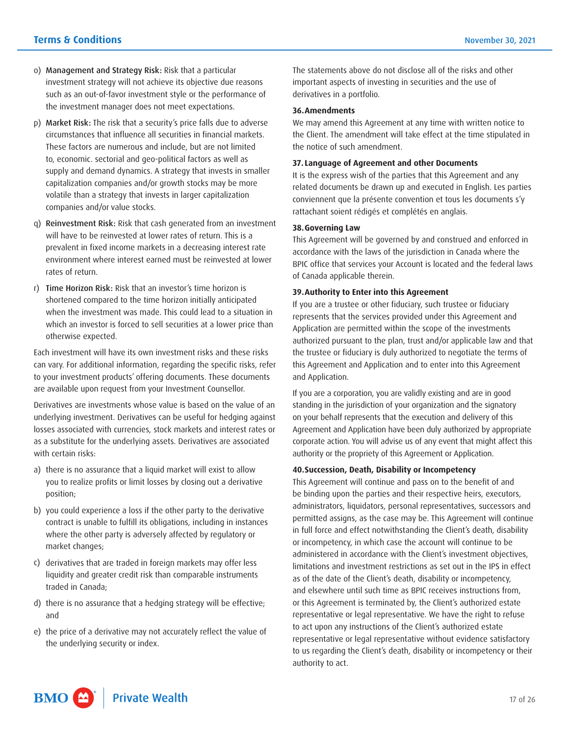- o) Management and Strategy Risk: Risk that a particular investment strategy will not achieve its objective due reasons such as an out-of-favor investment style or the performance of the investment manager does not meet expectations.
- p) Market Risk: The risk that a security's price falls due to adverse circumstances that influence all securities in financial markets. These factors are numerous and include, but are not limited to, economic. sectorial and geo-political factors as well as supply and demand dynamics. A strategy that invests in smaller capitalization companies and/or growth stocks may be more volatile than a strategy that invests in larger capitalization companies and/or value stocks.
- q) Reinvestment Risk: Risk that cash generated from an investment will have to be reinvested at lower rates of return. This is a prevalent in fixed income markets in a decreasing interest rate environment where interest earned must be reinvested at lower rates of return.
- r) Time Horizon Risk: Risk that an investor's time horizon is shortened compared to the time horizon initially anticipated when the investment was made. This could lead to a situation in which an investor is forced to sell securities at a lower price than otherwise expected.

Each investment will have its own investment risks and these risks can vary. For additional information, regarding the specific risks, refer to your investment products' offering documents. These documents are available upon request from your Investment Counsellor.

Derivatives are investments whose value is based on the value of an underlying investment. Derivatives can be useful for hedging against losses associated with currencies, stock markets and interest rates or as a substitute for the underlying assets. Derivatives are associated with certain risks:

- a) there is no assurance that a liquid market will exist to allow you to realize profits or limit losses by closing out a derivative position;
- b) you could experience a loss if the other party to the derivative contract is unable to fulfill its obligations, including in instances where the other party is adversely affected by regulatory or market changes;
- c) derivatives that are traded in foreign markets may offer less liquidity and greater credit risk than comparable instruments traded in Canada;
- d) there is no assurance that a hedging strategy will be effective; and
- e) the price of a derivative may not accurately reflect the value of the underlying security or index.

The statements above do not disclose all of the risks and other important aspects of investing in securities and the use of derivatives in a portfolio.

#### **36.Amendments**

We may amend this Agreement at any time with written notice to the Client. The amendment will take effect at the time stipulated in the notice of such amendment.

#### **37. Language of Agreement and other Documents**

It is the express wish of the parties that this Agreement and any related documents be drawn up and executed in English. Les parties conviennent que la présente convention et tous les documents s'y rattachant soient rédigés et complétés en anglais.

#### **38.Governing Law**

This Agreement will be governed by and construed and enforced in accordance with the laws of the jurisdiction in Canada where the BPIC office that services your Account is located and the federal laws of Canada applicable therein.

#### **39.Authority to Enter into this Agreement**

If you are a trustee or other fiduciary, such trustee or fiduciary represents that the services provided under this Agreement and Application are permitted within the scope of the investments authorized pursuant to the plan, trust and/or applicable law and that the trustee or fiduciary is duly authorized to negotiate the terms of this Agreement and Application and to enter into this Agreement and Application.

If you are a corporation, you are validly existing and are in good standing in the jurisdiction of your organization and the signatory on your behalf represents that the execution and delivery of this Agreement and Application have been duly authorized by appropriate corporate action. You will advise us of any event that might affect this authority or the propriety of this Agreement or Application.

#### **40.Succession, Death, Disability or Incompetency**

This Agreement will continue and pass on to the benefit of and be binding upon the parties and their respective heirs, executors, administrators, liquidators, personal representatives, successors and permitted assigns, as the case may be. This Agreement will continue in full force and effect notwithstanding the Client's death, disability or incompetency, in which case the account will continue to be administered in accordance with the Client's investment objectives, limitations and investment restrictions as set out in the IPS in effect as of the date of the Client's death, disability or incompetency, and elsewhere until such time as BPIC receives instructions from, or this Agreement is terminated by, the Client's authorized estate representative or legal representative. We have the right to refuse to act upon any instructions of the Client's authorized estate representative or legal representative without evidence satisfactory to us regarding the Client's death, disability or incompetency or their authority to act.

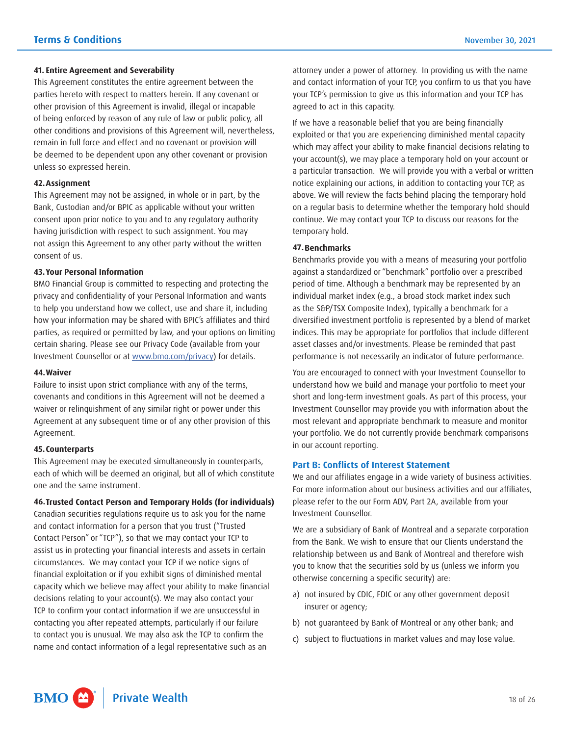#### <span id="page-17-0"></span>**41. Entire Agreement and Severability**

This Agreement constitutes the entire agreement between the parties hereto with respect to matters herein. If any covenant or other provision of this Agreement is invalid, illegal or incapable of being enforced by reason of any rule of law or public policy, all other conditions and provisions of this Agreement will, nevertheless, remain in full force and effect and no covenant or provision will be deemed to be dependent upon any other covenant or provision unless so expressed herein.

#### **42.Assignment**

This Agreement may not be assigned, in whole or in part, by the Bank, Custodian and/or BPIC as applicable without your written consent upon prior notice to you and to any regulatory authority having jurisdiction with respect to such assignment. You may not assign this Agreement to any other party without the written consent of us.

#### **43.Your Personal Information**

BMO Financial Group is committed to respecting and protecting the privacy and confidentiality of your Personal Information and wants to help you understand how we collect, use and share it, including how your information may be shared with BPIC's affiliates and third parties, as required or permitted by law, and your options on limiting certain sharing. Please see our Privacy Code (available from your Investment Counsellor or at [www.bmo.com/privacy\)](https://www.bmo.com/main/about-bmo/privacy-security/our-privacy-code/) for details.

#### **44.Waiver**

Failure to insist upon strict compliance with any of the terms, covenants and conditions in this Agreement will not be deemed a waiver or relinquishment of any similar right or power under this Agreement at any subsequent time or of any other provision of this Agreement.

#### **45.Counterparts**

This Agreement may be executed simultaneously in counterparts, each of which will be deemed an original, but all of which constitute one and the same instrument.

#### **46.Trusted Contact Person and Temporary Holds (for individuals)**

 Contact Person" or "TCP"), so that we may contact your TCP to Canadian securities regulations require us to ask you for the name and contact information for a person that you trust ("Trusted assist us in protecting your financial interests and assets in certain circumstances. We may contact your TCP if we notice signs of financial exploitation or if you exhibit signs of diminished mental capacity which we believe may affect your ability to make financial decisions relating to your account(s). We may also contact your TCP to confirm your contact information if we are unsuccessful in contacting you after repeated attempts, particularly if our failure to contact you is unusual. We may also ask the TCP to confirm the name and contact information of a legal representative such as an

 your TCP's permission to give us this information and your TCP has attorney under a power of attorney. In providing us with the name and contact information of your TCP, you confirm to us that you have agreed to act in this capacity.

If we have a reasonable belief that you are being financially exploited or that you are experiencing diminished mental capacity which may affect your ability to make financial decisions relating to your account(s), we may place a temporary hold on your account or a particular transaction. We will provide you with a verbal or written notice explaining our actions, in addition to contacting your TCP, as above. We will review the facts behind placing the temporary hold on a regular basis to determine whether the temporary hold should continue. We may contact your TCP to discuss our reasons for the temporary hold.

#### **47.Benchmarks**

Benchmarks provide you with a means of measuring your portfolio against a standardized or "benchmark" portfolio over a prescribed period of time. Although a benchmark may be represented by an individual market index (e.g., a broad stock market index such as the S&P/TSX Composite Index), typically a benchmark for a diversified investment portfolio is represented by a blend of market indices. This may be appropriate for portfolios that include different asset classes and/or investments. Please be reminded that past performance is not necessarily an indicator of future performance.

 understand how we build and manage your portfolio to meet your You are encouraged to connect with your Investment Counsellor to short and long-term investment goals. As part of this process, your Investment Counsellor may provide you with information about the most relevant and appropriate benchmark to measure and monitor your portfolio. We do not currently provide benchmark comparisons in our account reporting.

#### **Part B: Conflicts of Interest Statement**

We and our affiliates engage in a wide variety of business activities. For more information about our business activities and our affiliates, please refer to the our Form ADV, Part 2A, available from your Investment Counsellor.

We are a subsidiary of Bank of Montreal and a separate corporation from the Bank. We wish to ensure that our Clients understand the relationship between us and Bank of Montreal and therefore wish you to know that the securities sold by us (unless we inform you otherwise concerning a specific security) are:

- a) not insured by CDIC, FDIC or any other government deposit insurer or agency;
- b) not guaranteed by Bank of Montreal or any other bank; and
- c) subject to fluctuations in market values and may lose value.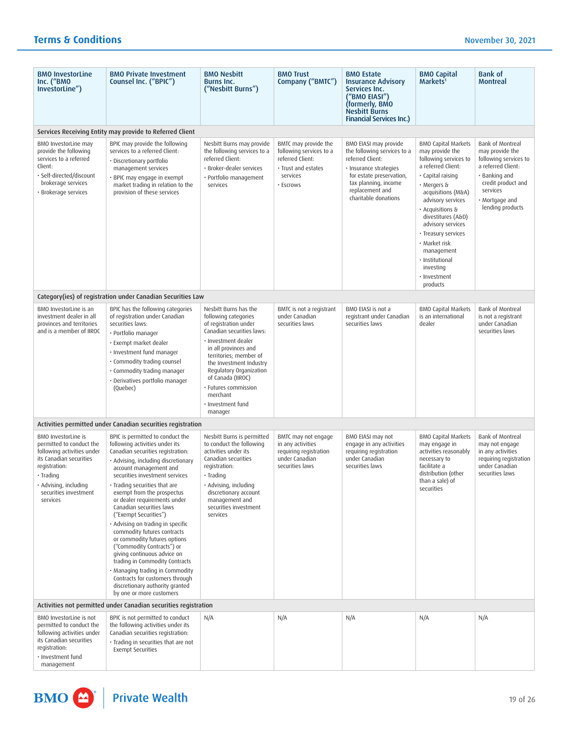| <b>BMO InvestorLine</b><br>Inc. ("BMO<br>InvestorLine")                                                                                                                                                     | <b>BMO Private Investment</b><br>Counsel Inc. ("BPIC")                                                                                                                                                                                                                                                                                                                                                                                                                                                                                                                                                                                                                                                 | <b>BMO Nesbitt</b><br><b>Burns Inc.</b><br>("Nesbitt Burns")                                                                                                                                                                                                                                                                | <b>BMO Trust</b><br>Company ("BMTC")                                                                                | <b>BMO Estate</b><br><b>Insurance Advisory</b><br>Services Inc.<br>("BMO EIASI")<br>(formerly, BMO<br><b>Nesbitt Burns</b><br><b>Financial Services Inc.)</b>                                     | <b>BMO Capital</b><br>Markets <sup>1</sup>                                                                                                                                                                                                                                                                                                                   | <b>Bank of</b><br><b>Montreal</b>                                                                                                                                         |
|-------------------------------------------------------------------------------------------------------------------------------------------------------------------------------------------------------------|--------------------------------------------------------------------------------------------------------------------------------------------------------------------------------------------------------------------------------------------------------------------------------------------------------------------------------------------------------------------------------------------------------------------------------------------------------------------------------------------------------------------------------------------------------------------------------------------------------------------------------------------------------------------------------------------------------|-----------------------------------------------------------------------------------------------------------------------------------------------------------------------------------------------------------------------------------------------------------------------------------------------------------------------------|---------------------------------------------------------------------------------------------------------------------|---------------------------------------------------------------------------------------------------------------------------------------------------------------------------------------------------|--------------------------------------------------------------------------------------------------------------------------------------------------------------------------------------------------------------------------------------------------------------------------------------------------------------------------------------------------------------|---------------------------------------------------------------------------------------------------------------------------------------------------------------------------|
|                                                                                                                                                                                                             | Services Receiving Entity may provide to Referred Client                                                                                                                                                                                                                                                                                                                                                                                                                                                                                                                                                                                                                                               |                                                                                                                                                                                                                                                                                                                             |                                                                                                                     |                                                                                                                                                                                                   |                                                                                                                                                                                                                                                                                                                                                              |                                                                                                                                                                           |
| BMO InvestorLine may<br>provide the following<br>services to a referred<br>Client:<br>· Self-directed/discount<br>brokerage services<br>· Brokerage services                                                | BPIC may provide the following<br>services to a referred Client:<br>· Discretionary portfolio<br>management services<br>· BPIC may engage in exempt<br>market trading in relation to the<br>provision of these services                                                                                                                                                                                                                                                                                                                                                                                                                                                                                | Nesbitt Burns may provide<br>the following services to a<br>referred Client:<br>· Broker-dealer services<br>· Portfolio management<br>services                                                                                                                                                                              | BMTC may provide the<br>following services to a<br>referred Client:<br>· Trust and estates<br>services<br>· Escrows | BMO EIASI may provide<br>the following services to a<br>referred Client:<br>· Insurance strategies<br>for estate preservation,<br>tax planning, income<br>replacement and<br>charitable donations | <b>BMO Capital Markets</b><br>may provide the<br>following services to<br>a referred Client:<br>· Capital raising<br>· Mergers &<br>acquisitions (M&A)<br>advisory services<br>· Acquisitions &<br>divestitures (A&D)<br>advisory services<br>• Treasury services<br>· Market risk<br>management<br>· Institutional<br>investing<br>· Investment<br>products | Bank of Montreal<br>may provide the<br>following services to<br>a referred Client:<br>· Banking and<br>credit product and<br>services<br>Mortgage and<br>lending products |
|                                                                                                                                                                                                             | Category(ies) of registration under Canadian Securities Law                                                                                                                                                                                                                                                                                                                                                                                                                                                                                                                                                                                                                                            |                                                                                                                                                                                                                                                                                                                             |                                                                                                                     |                                                                                                                                                                                                   |                                                                                                                                                                                                                                                                                                                                                              |                                                                                                                                                                           |
| BMO InvestorLine is an<br>investment dealer in all<br>provinces and territories<br>and is a member of IIROC                                                                                                 | BPIC has the following categories<br>of registration under Canadian<br>securities laws:<br>• Portfolio manager<br>· Exempt market dealer<br>· Investment fund manager<br>· Commodity trading counsel<br>• Commodity trading manager<br>· Derivatives portfolio manager<br>(Quebec)                                                                                                                                                                                                                                                                                                                                                                                                                     | Nesbitt Burns has the<br>following categories<br>of registration under<br>Canadian securities laws:<br>· Investment dealer<br>in all provinces and<br>territories; member of<br>the Investment Industry<br>Regulatory Organization<br>of Canada (IIROC)<br>· Futures commission<br>merchant<br>· Investment fund<br>manager | BMTC is not a registrant<br>under Canadian<br>securities laws                                                       | BMO EIASI is not a<br>registrant under Canadian<br>securities laws                                                                                                                                | <b>BMO Capital Markets</b><br>is an international<br>dealer                                                                                                                                                                                                                                                                                                  | Bank of Montreal<br>is not a registrant<br>under Canadian<br>securities laws                                                                                              |
|                                                                                                                                                                                                             | Activities permitted under Canadian securities registration                                                                                                                                                                                                                                                                                                                                                                                                                                                                                                                                                                                                                                            |                                                                                                                                                                                                                                                                                                                             |                                                                                                                     |                                                                                                                                                                                                   |                                                                                                                                                                                                                                                                                                                                                              |                                                                                                                                                                           |
| <b>BMO InvestorLine is</b><br>permitted to conduct the<br>following activities under<br>its Canadian securities<br>registration:<br>· Trading<br>· Advising, including<br>securities investment<br>services | BPIC is permitted to conduct the<br>following activities under its<br>Canadian securities registration:<br>· Advising, including discretionary<br>account management and<br>securities investment services<br>· Trading securities that are<br>exempt from the prospectus<br>or dealer requirements under<br>Canadian securities laws<br>("Exempt Securities")<br>· Advising on trading in specific<br>commodity futures contracts<br>or commodity futures options<br>("Commodity Contracts") or<br>giving continuous advice on<br>trading in Commodity Contracts<br>· Managing trading in Commodity<br>Contracts for customers through<br>discretionary authority granted<br>by one or more customers | Nesbitt Burns is permitted<br>to conduct the following<br>activities under its<br>Canadian securities<br>registration:<br>· Trading<br>· Advising, including<br>discretionary account<br>management and<br>securities investment<br>services                                                                                | BMTC may not engage<br>in any activities<br>requiring registration<br>under Canadian<br>securities laws             | BMO EIASI may not<br>engage in any activities<br>requiring registration<br>under Canadian<br>securities laws                                                                                      | <b>BMO Capital Markets</b><br>may engage in<br>activities reasonably<br>necessary to<br>facilitate a<br>distribution (other<br>than a sale) of<br>securities                                                                                                                                                                                                 | Bank of Montreal<br>may not engage<br>in any activities<br>requiring registration<br>under Canadian<br>securities laws                                                    |
| Activities not permitted under Canadian securities registration                                                                                                                                             |                                                                                                                                                                                                                                                                                                                                                                                                                                                                                                                                                                                                                                                                                                        |                                                                                                                                                                                                                                                                                                                             |                                                                                                                     |                                                                                                                                                                                                   |                                                                                                                                                                                                                                                                                                                                                              |                                                                                                                                                                           |
| BMO InvestorLine is not<br>permitted to conduct the<br>following activities under<br>its Canadian securities<br>registration:<br>· Investment fund<br>management                                            | BPIC is not permitted to conduct<br>the following activities under its<br>Canadian securities registration:<br>· Trading in securities that are not<br><b>Exempt Securities</b>                                                                                                                                                                                                                                                                                                                                                                                                                                                                                                                        | N/A                                                                                                                                                                                                                                                                                                                         | N/A                                                                                                                 | N/A                                                                                                                                                                                               | N/A                                                                                                                                                                                                                                                                                                                                                          | N/A                                                                                                                                                                       |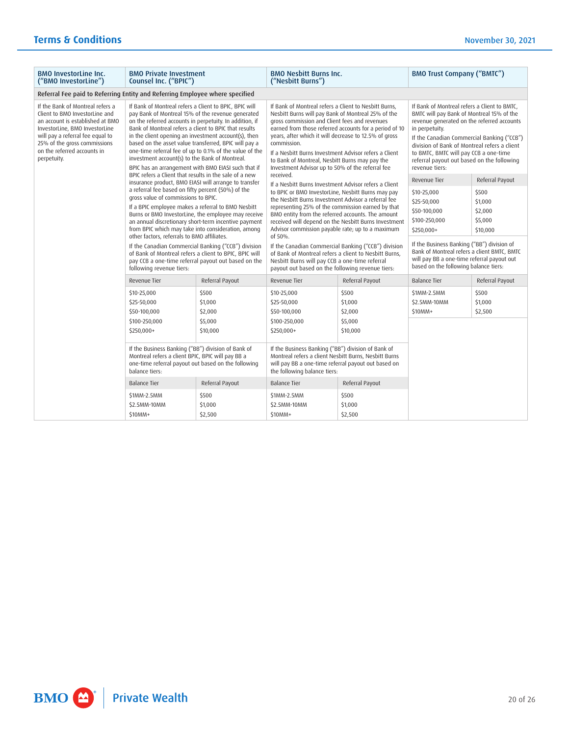| <b>BMO InvestorLine Inc.</b><br>("BMO InvestorLine")                                                                                                                                                                                                       | <b>BMO Private Investment</b><br>Counsel Inc. ("BPIC")                                                                                                                                                                                                                                                                                                                                                                                                                                                                                                                                                                                  |                                                     | <b>BMO Nesbitt Burns Inc.</b><br>("Nesbitt Burns")                                                                                                                                                                                                                                                                                                                                                                                                                                                                                                               |                                                    | <b>BMO Trust Company ("BMTC")</b>                                                                                                                                                                                                                                                                                                                                |                                                    |
|------------------------------------------------------------------------------------------------------------------------------------------------------------------------------------------------------------------------------------------------------------|-----------------------------------------------------------------------------------------------------------------------------------------------------------------------------------------------------------------------------------------------------------------------------------------------------------------------------------------------------------------------------------------------------------------------------------------------------------------------------------------------------------------------------------------------------------------------------------------------------------------------------------------|-----------------------------------------------------|------------------------------------------------------------------------------------------------------------------------------------------------------------------------------------------------------------------------------------------------------------------------------------------------------------------------------------------------------------------------------------------------------------------------------------------------------------------------------------------------------------------------------------------------------------------|----------------------------------------------------|------------------------------------------------------------------------------------------------------------------------------------------------------------------------------------------------------------------------------------------------------------------------------------------------------------------------------------------------------------------|----------------------------------------------------|
| Referral Fee paid to Referring Entity and Referring Employee where specified                                                                                                                                                                               |                                                                                                                                                                                                                                                                                                                                                                                                                                                                                                                                                                                                                                         |                                                     |                                                                                                                                                                                                                                                                                                                                                                                                                                                                                                                                                                  |                                                    |                                                                                                                                                                                                                                                                                                                                                                  |                                                    |
| If the Bank of Montreal refers a<br>Client to BMO InvestorLine and<br>an account is established at BMO<br>InvestorLine, BMO InvestorLine<br>will pay a referral fee equal to<br>25% of the gross commissions<br>on the referred accounts in<br>perpetuity. | If Bank of Montreal refers a Client to BPIC, BPIC will<br>pay Bank of Montreal 15% of the revenue generated<br>on the referred accounts in perpetuity. In addition, if<br>Bank of Montreal refers a client to BPIC that results<br>in the client opening an investment account(s), then<br>based on the asset value transferred, BPIC will pay a<br>one-time referral fee of up to 0.1% of the value of the<br>investment account(s) to the Bank of Montreal.<br>BPIC has an arrangement with BMO EIASI such that if<br>BPIC refers a Client that results in the sale of a new<br>insurance product, BMO EIASI will arrange to transfer |                                                     | If Bank of Montreal refers a Client to Nesbitt Burns.<br>Nesbitt Burns will pay Bank of Montreal 25% of the<br>gross commission and Client fees and revenues<br>earned from those referred accounts for a period of 10<br>years, after which it will decrease to 12.5% of gross<br>commission.<br>If a Nesbitt Burns Investment Advisor refers a Client<br>to Bank of Montreal, Nesbitt Burns may pay the<br>Investment Advisor up to 50% of the referral fee<br>received.<br>If a Nesbitt Burns Investment Advisor refers a Client                              |                                                    | If Bank of Montreal refers a Client to BMTC.<br>BMTC will pay Bank of Montreal 15% of the<br>revenue generated on the referred accounts<br>in perpetuity.<br>If the Canadian Commercial Banking ("CCB")<br>division of Bank of Montreal refers a client<br>to BMTC, BMTC will pay CCB a one-time<br>referral payout out based on the following<br>revenue tiers: |                                                    |
|                                                                                                                                                                                                                                                            |                                                                                                                                                                                                                                                                                                                                                                                                                                                                                                                                                                                                                                         |                                                     |                                                                                                                                                                                                                                                                                                                                                                                                                                                                                                                                                                  |                                                    | <b>Revenue Tier</b>                                                                                                                                                                                                                                                                                                                                              | Referral Payout                                    |
|                                                                                                                                                                                                                                                            | a referral fee based on fifty percent (50%) of the<br>gross value of commissions to BPIC.<br>If a BPIC employee makes a referral to BMO Nesbitt<br>an annual discretionary short-term incentive payment<br>from BPIC which may take into consideration, among<br>other factors, referrals to BMO affiliates.<br>If the Canadian Commercial Banking ("CCB") division<br>of Bank of Montreal refers a client to BPIC, BPIC will<br>pay CCB a one-time referral payout out based on the<br>following revenue tiers:                                                                                                                        | Burns or BMO InvestorLine, the employee may receive | to BPIC or BMO InvestorLine, Nesbitt Burns may pay<br>the Nesbitt Burns Investment Advisor a referral fee<br>representing 25% of the commission earned by that<br>BMO entity from the referred accounts. The amount<br>received will depend on the Nesbitt Burns Investment<br>Advisor commission payable rate; up to a maximum<br>of 50%.<br>If the Canadian Commercial Banking ("CCB") division<br>of Bank of Montreal refers a client to Nesbitt Burns.<br>Nesbitt Burns will pay CCB a one-time referral<br>payout out based on the following revenue tiers: |                                                    | \$10-25,000<br>\$25-50,000<br>\$50-100,000<br>\$100-250,000<br>\$250.000+<br>If the Business Banking ("BB") division of<br>Bank of Montreal refers a client BMTC, BMTC<br>will pay BB a one-time referral payout out<br>based on the following balance tiers:                                                                                                    | \$500<br>\$1,000<br>\$2,000<br>\$5,000<br>\$10,000 |
|                                                                                                                                                                                                                                                            | Revenue Tier                                                                                                                                                                                                                                                                                                                                                                                                                                                                                                                                                                                                                            | Referral Payout                                     | Revenue Tier                                                                                                                                                                                                                                                                                                                                                                                                                                                                                                                                                     | Referral Payout                                    | <b>Balance Tier</b>                                                                                                                                                                                                                                                                                                                                              | Referral Payout                                    |
|                                                                                                                                                                                                                                                            | \$10-25,000<br>\$25-50,000<br>\$50-100,000<br>\$100-250,000<br>\$250,000+                                                                                                                                                                                                                                                                                                                                                                                                                                                                                                                                                               | \$500<br>\$1,000<br>\$2,000<br>\$5,000<br>\$10,000  | \$10-25,000<br>\$25-50,000<br>\$50-100,000<br>\$100-250,000<br>\$250,000+                                                                                                                                                                                                                                                                                                                                                                                                                                                                                        | \$500<br>\$1,000<br>\$2,000<br>\$5,000<br>\$10,000 | \$1MM-2.5MM<br>\$2.5MM-10MM<br>\$10MM+                                                                                                                                                                                                                                                                                                                           | \$500<br>\$1,000<br>\$2,500                        |
|                                                                                                                                                                                                                                                            | If the Business Banking ("BB") division of Bank of<br>Montreal refers a client BPIC, BPIC will pay BB a<br>one-time referral payout out based on the following<br>balance tiers:                                                                                                                                                                                                                                                                                                                                                                                                                                                        |                                                     | If the Business Banking ("BB") division of Bank of<br>Montreal refers a client Nesbitt Burns, Nesbitt Burns<br>will pay BB a one-time referral payout out based on<br>the following balance tiers:                                                                                                                                                                                                                                                                                                                                                               |                                                    |                                                                                                                                                                                                                                                                                                                                                                  |                                                    |
|                                                                                                                                                                                                                                                            | <b>Balance Tier</b>                                                                                                                                                                                                                                                                                                                                                                                                                                                                                                                                                                                                                     | Referral Payout                                     | <b>Balance Tier</b>                                                                                                                                                                                                                                                                                                                                                                                                                                                                                                                                              | Referral Payout                                    |                                                                                                                                                                                                                                                                                                                                                                  |                                                    |
|                                                                                                                                                                                                                                                            | \$1MM-2.5MM<br>\$2.5MM-10MM<br>\$10MM+                                                                                                                                                                                                                                                                                                                                                                                                                                                                                                                                                                                                  | \$500<br>\$1,000<br>\$2,500                         | \$1MM-2.5MM<br>\$2.5MM-10MM<br>\$10MM+                                                                                                                                                                                                                                                                                                                                                                                                                                                                                                                           | \$500<br>\$1,000<br>\$2,500                        |                                                                                                                                                                                                                                                                                                                                                                  |                                                    |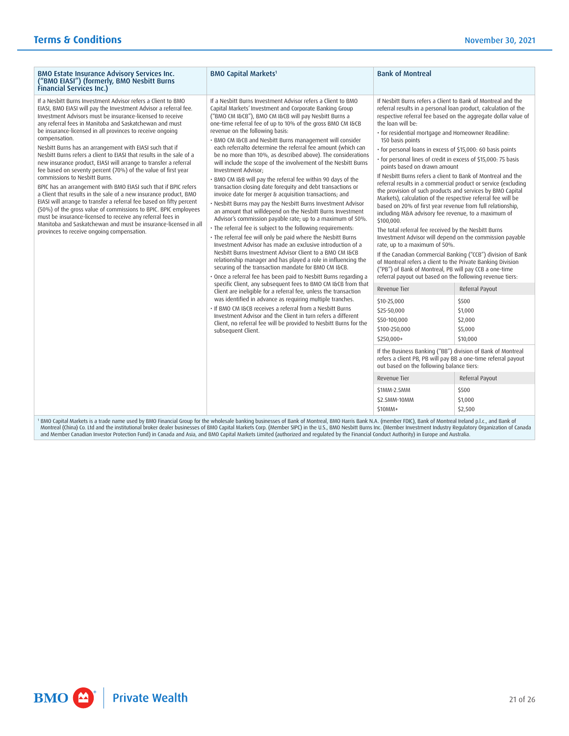| <b>BMO Capital Markets<sup>1</sup></b><br><b>BMO Estate Insurance Advisory Services Inc.</b><br>("BMO EIASI") (formerly, BMO Nesbitt Burns<br><b>Financial Services Inc.)</b>                                                                                                                                                                                                                                                                                                                                                                                                                                                                                                                                                                                                                                                                                                                                                                                                                                                                                                                                                                                                                                                                                                                                                                                                                                                                                                                                                                                                                                                                                                                                                                                                                                                                                                                                                                                                                                                                                                                                                                                                                                                                                                                                                                                                                                                                                                                                                                                                                                                                                                                                                                                                                                                                                                                                                                                                                                                                                                                                                                                                                  | <b>Bank of Montreal</b>                                                                                                                                                                                                                                                                                                                                                                                                                                                                                                                                                                                                                                                                                                                                                                                                                                                                                                                                                                                                                                                                                                                                                                                                                                                                                                                                                                                                                                                                                                                                                                                             |                                                                                                                         |
|------------------------------------------------------------------------------------------------------------------------------------------------------------------------------------------------------------------------------------------------------------------------------------------------------------------------------------------------------------------------------------------------------------------------------------------------------------------------------------------------------------------------------------------------------------------------------------------------------------------------------------------------------------------------------------------------------------------------------------------------------------------------------------------------------------------------------------------------------------------------------------------------------------------------------------------------------------------------------------------------------------------------------------------------------------------------------------------------------------------------------------------------------------------------------------------------------------------------------------------------------------------------------------------------------------------------------------------------------------------------------------------------------------------------------------------------------------------------------------------------------------------------------------------------------------------------------------------------------------------------------------------------------------------------------------------------------------------------------------------------------------------------------------------------------------------------------------------------------------------------------------------------------------------------------------------------------------------------------------------------------------------------------------------------------------------------------------------------------------------------------------------------------------------------------------------------------------------------------------------------------------------------------------------------------------------------------------------------------------------------------------------------------------------------------------------------------------------------------------------------------------------------------------------------------------------------------------------------------------------------------------------------------------------------------------------------------------------------------------------------------------------------------------------------------------------------------------------------------------------------------------------------------------------------------------------------------------------------------------------------------------------------------------------------------------------------------------------------------------------------------------------------------------------------------------------------|---------------------------------------------------------------------------------------------------------------------------------------------------------------------------------------------------------------------------------------------------------------------------------------------------------------------------------------------------------------------------------------------------------------------------------------------------------------------------------------------------------------------------------------------------------------------------------------------------------------------------------------------------------------------------------------------------------------------------------------------------------------------------------------------------------------------------------------------------------------------------------------------------------------------------------------------------------------------------------------------------------------------------------------------------------------------------------------------------------------------------------------------------------------------------------------------------------------------------------------------------------------------------------------------------------------------------------------------------------------------------------------------------------------------------------------------------------------------------------------------------------------------------------------------------------------------------------------------------------------------|-------------------------------------------------------------------------------------------------------------------------|
| If a Nesbitt Burns Investment Advisor refers a Client to BMO<br>If a Nesbitt Burns Investment Advisor refers a Client to BMO<br>EIASI, BMO EIASI will pay the Investment Advisor a referral fee.<br>Capital Markets' Investment and Corporate Banking Group<br>Investment Advisors must be insurance-licensed to receive<br>("BMO CM I&CB"), BMO CM I&CB will pay Nesbitt Burns a<br>any referral fees in Manitoba and Saskatchewan and must<br>one-time referral fee of up to 10% of the gross BMO CM I&CB<br>be insurance-licensed in all provinces to receive ongoing<br>revenue on the following basis:<br>compensation.<br>· BMO CM I&CB and Nesbitt Burns management will consider<br>each referralto determine the referral fee amount (which can<br>Nesbitt Burns has an arrangement with EIASI such that if<br>Nesbitt Burns refers a client to EIASI that results in the sale of a<br>be no more than 10%, as described above). The considerations<br>new insurance product, EIASI will arrange to transfer a referral<br>will include the scope of the involvement of the Nesbitt Burns<br>fee based on seventy percent (70%) of the value of first year<br>Investment Advisor:<br>commissions to Nesbitt Burns.<br>. BMO CM I&B will pay the referral fee within 90 days of the<br>BPIC has an arrangement with BMO EIASI such that if BPIC refers<br>transaction closing date foreguity and debt transactions or<br>a Client that results in the sale of a new insurance product, BMO<br>invoice date for merger & acquisition transactions; and<br>EIASI will arrange to transfer a referral fee based on fifty percent<br>. Nesbitt Burns may pay the Nesbitt Burns Investment Advisor<br>(50%) of the gross value of commissions to BPIC. BPIC employees<br>an amount that willdepend on the Nesbitt Burns Investment<br>must be insurance-licensed to receive any referral fees in<br>Advisor's commission payable rate; up to a maximum of 50%.<br>Manitoba and Saskatchewan and must be insurance-licensed in all<br>· The referral fee is subject to the following requirements:<br>provinces to receive ongoing compensation.<br>· The referral fee will only be paid where the Nesbitt Burns<br>Investment Advisor has made an exclusive introduction of a<br>Nesbitt Burns Investment Advisor Client to a BMO CM I&CB<br>relationship manager and has played a role in influencing the<br>securing of the transaction mandate for BMO CM I&CB.<br>· Once a referral fee has been paid to Nesbitt Burns regarding a<br>specific Client, any subsequent fees to BMO CM I&CB from that<br>Client are ineligible for a referral fee, unless the transaction<br>was identified in advance as requiring multiple tranches.<br>. If BMO CM I&CB receives a referral from a Nesbitt Burns<br>Investment Advisor and the Client in turn refers a different<br>Client, no referral fee will be provided to Nesbitt Burns for the<br>subsequent Client.<br><sup>1</sup> BMO Capital Markets is a trade name used by BMO Financial Group for the wholesale banking businesses of Bank of Montreal, BMO Harris Bank N.A. (member FDIC), Bank of Montreal Ireland p.l.c., and Bank of | If Nesbitt Burns refers a Client to Bank of Montreal and the<br>referral results in a personal loan product, calculation of the<br>respective referral fee based on the aggregate dollar value of<br>the loan will be:<br>· for residential mortgage and Homeowner Readiline:<br>150 basis points<br>· for personal loans in excess of \$15,000: 60 basis points<br>· for personal lines of credit in excess of \$15,000: 75 basis<br>points based on drawn amount<br>If Nesbitt Burns refers a client to Bank of Montreal and the<br>referral results in a commercial product or service (excluding<br>the provision of such products and services by BMO Capital<br>Markets), calculation of the respective referral fee will be<br>based on 20% of first year revenue from full relationship,<br>including M&A advisory fee revenue, to a maximum of<br>\$100,000.<br>The total referral fee received by the Nesbitt Burns<br>Investment Advisor will depend on the commission payable<br>rate, up to a maximum of 50%.<br>If the Canadian Commercial Banking ("CCB") division of Bank<br>of Montreal refers a client to the Private Banking Division<br>("PB") of Bank of Montreal, PB will pay CCB a one-time<br>referral payout out based on the following revenue tiers:<br>Revenue Tier<br>\$10-25,000<br>\$25-50,000<br>\$50-100,000<br>\$100-250,000<br>\$250,000+<br>If the Business Banking ("BB") division of Bank of Montreal<br>refers a client PB, PB will pay BB a one-time referral payout<br>out based on the following balance tiers:<br>Revenue Tier<br>\$1MM-2.5MM<br>\$2.5MM-10MM<br>\$10MM+ | Referral Payout<br>\$500<br>\$1,000<br>\$2,000<br>\$5,000<br>\$10,000<br>Referral Payout<br>\$500<br>\$1,000<br>\$2,500 |

' BMO Capital Markets is a trade name used by BMO Financial Group for the wholesale banking businesses of Bank of Montreal, BMO Harris Bank N.A. (member FDIC), Bank of Montreal Ireland p.l.c., and Bank of Ganak of Allen an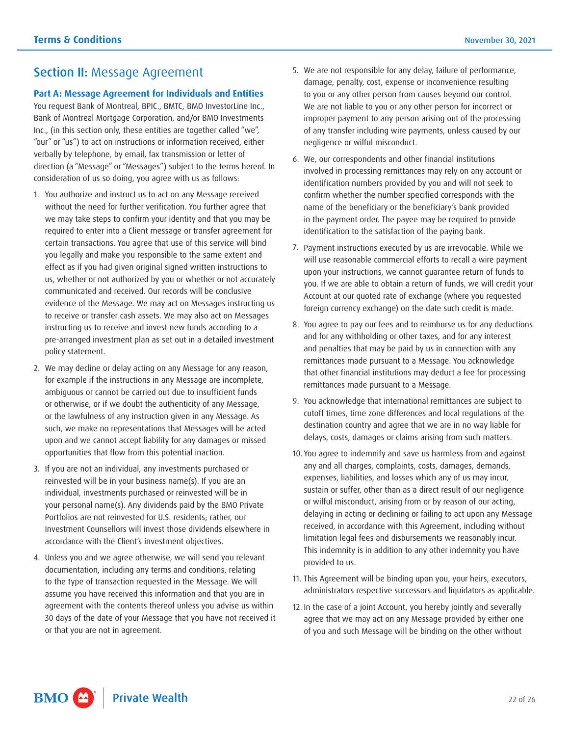## <span id="page-21-0"></span>Section II: Message Agreement

#### **Part A: Message Agreement for Individuals and Entities**

 "our" or "us") to act on instructions or information received, either You request Bank of Montreal, BPIC., BMTC, BMO InvestorLine Inc., Bank of Montreal Mortgage Corporation, and/or BMO Investments Inc., (in this section only, these entities are together called "we", verbally by telephone, by email, fax transmission or letter of direction (a "Message" or "Messages") subject to the terms hereof. In consideration of us so doing, you agree with us as follows:

- us, whether or not authorized by you or whether or not accurately 1. You authorize and instruct us to act on any Message received without the need for further verification. You further agree that we may take steps to confirm your identity and that you may be required to enter into a Client message or transfer agreement for certain transactions. You agree that use of this service will bind you legally and make you responsible to the same extent and effect as if you had given original signed written instructions to communicated and received. Our records will be conclusive evidence of the Message. We may act on Messages instructing us to receive or transfer cash assets. We may also act on Messages instructing us to receive and invest new funds according to a pre-arranged investment plan as set out in a detailed investment policy statement.
- 2. We may decline or delay acting on any Message for any reason, for example if the instructions in any Message are incomplete, ambiguous or cannot be carried out due to insufficient funds or otherwise, or if we doubt the authenticity of any Message, or the lawfulness of any instruction given in any Message. As such, we make no representations that Messages will be acted upon and we cannot accept liability for any damages or missed opportunities that flow from this potential inaction.
- 3. If you are not an individual, any investments purchased or reinvested will be in your business name(s). If you are an individual, investments purchased or reinvested will be in your personal name(s). Any dividends paid by the BMO Private Portfolios are not reinvested for U.S. residents; rather, our Investment Counsellors will invest those dividends elsewhere in accordance with the Client's investment objectives.
- 4. Unless you and we agree otherwise, we will send you relevant documentation, including any terms and conditions, relating to the type of transaction requested in the Message. We will assume you have received this information and that you are in agreement with the contents thereof unless you advise us within 30 days of the date of your Message that you have not received it or that you are not in agreement.
- 5. We are not responsible for any delay, failure of performance, damage, penalty, cost, expense or inconvenience resulting to you or any other person from causes beyond our control. We are not liable to you or any other person for incorrect or improper payment to any person arising out of the processing of any transfer including wire payments, unless caused by our negligence or wilful misconduct.
- 6. We, our correspondents and other financial institutions involved in processing remittances may rely on any account or identification numbers provided by you and will not seek to confirm whether the number specified corresponds with the name of the beneficiary or the beneficiary's bank provided in the payment order. The payee may be required to provide identification to the satisfaction of the paying bank.
- 7. Payment instructions executed by us are irrevocable. While we will use reasonable commercial efforts to recall a wire payment upon your instructions, we cannot guarantee return of funds to you. If we are able to obtain a return of funds, we will credit your Account at our quoted rate of exchange (where you requested foreign currency exchange) on the date such credit is made.
- 8. You agree to pay our fees and to reimburse us for any deductions and for any withholding or other taxes, and for any interest and penalties that may be paid by us in connection with any remittances made pursuant to a Message. You acknowledge that other financial institutions may deduct a fee for processing remittances made pursuant to a Message.
- 9. You acknowledge that international remittances are subject to cutoff times, time zone differences and local regulations of the destination country and agree that we are in no way liable for delays, costs, damages or claims arising from such matters.
- 10. You agree to indemnify and save us harmless from and against any and all charges, complaints, costs, damages, demands, expenses, liabilities, and losses which any of us may incur, sustain or suffer, other than as a direct result of our negligence or wilful misconduct, arising from or by reason of our acting, delaying in acting or declining or failing to act upon any Message received, in accordance with this Agreement, including without limitation legal fees and disbursements we reasonably incur. This indemnity is in addition to any other indemnity you have provided to us.
- 11. This Agreement will be binding upon you, your heirs, executors, administrators respective successors and liquidators as applicable.
- 12. In the case of a joint Account, you hereby jointly and severally agree that we may act on any Message provided by either one of you and such Message will be binding on the other without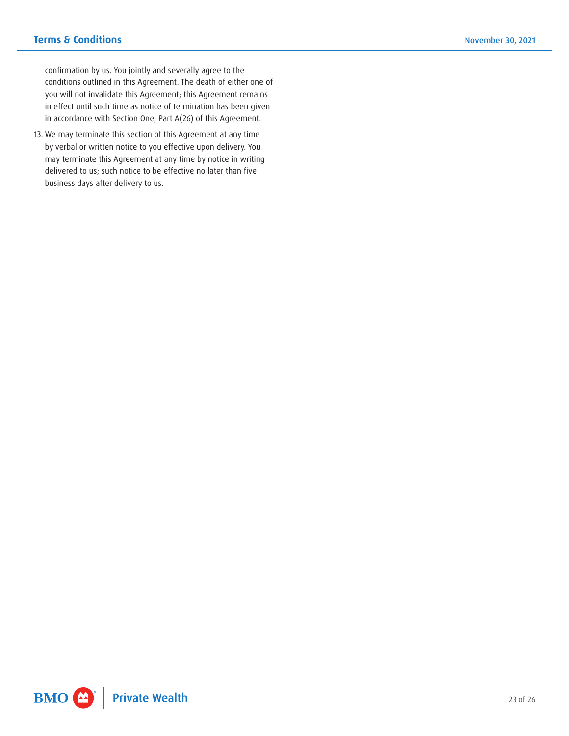confirmation by us. You jointly and severally agree to the conditions outlined in this Agreement. The death of either one of you will not invalidate this Agreement; this Agreement remains in effect until such time as notice of termination has been given in accordance with Section One, Part A(26) of this Agreement.

 by verbal or written notice to you effective upon delivery. You 13. We may terminate this section of this Agreement at any time may terminate this Agreement at any time by notice in writing delivered to us; such notice to be effective no later than five business days after delivery to us.

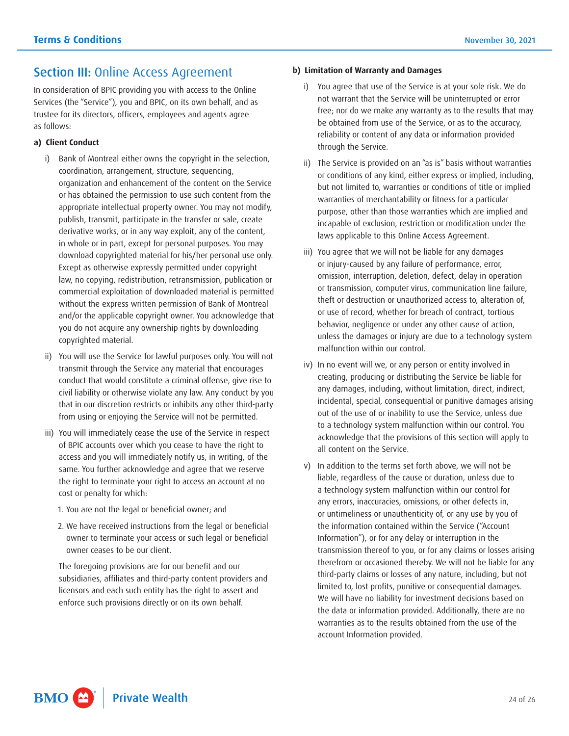## <span id="page-23-0"></span>**Section III: Online Access Agreement**

In consideration of BPIC providing you with access to the Online Services (the "Service"), you and BPIC, on its own behalf, and as trustee for its directors, officers, employees and agents agree as follows:

#### **a) Client Conduct**

- i) Bank of Montreal either owns the copyright in the selection, coordination, arrangement, structure, sequencing, organization and enhancement of the content on the Service or has obtained the permission to use such content from the appropriate intellectual property owner. You may not modify, publish, transmit, participate in the transfer or sale, create derivative works, or in any way exploit, any of the content, in whole or in part, except for personal purposes. You may download copyrighted material for his/her personal use only. Except as otherwise expressly permitted under copyright law, no copying, redistribution, retransmission, publication or commercial exploitation of downloaded material is permitted without the express written permission of Bank of Montreal and/or the applicable copyright owner. You acknowledge that you do not acquire any ownership rights by downloading copyrighted material.
- ii) You will use the Service for lawful purposes only. You will not transmit through the Service any material that encourages conduct that would constitute a criminal offense, give rise to civil liability or otherwise violate any law. Any conduct by you that in our discretion restricts or inhibits any other third-party from using or enjoying the Service will not be permitted.
- iii) You will immediately cease the use of the Service in respect of BPIC accounts over which you cease to have the right to access and you will immediately notify us, in writing, of the same. You further acknowledge and agree that we reserve the right to terminate your right to access an account at no cost or penalty for which:
	- 1. You are not the legal or beneficial owner; and
	- 2. We have received instructions from the legal or beneficial owner to terminate your access or such legal or beneficial owner ceases to be our client.

The foregoing provisions are for our benefit and our subsidiaries, affiliates and third-party content providers and licensors and each such entity has the right to assert and enforce such provisions directly or on its own behalf.

#### **b) Limitation of Warranty and Damages**

- free; nor do we make any warranty as to the results that may You agree that use of the Service is at your sole risk. We do not warrant that the Service will be uninterrupted or error be obtained from use of the Service, or as to the accuracy, reliability or content of any data or information provided through the Service.
- ii) The Service is provided on an "as is" basis without warranties or conditions of any kind, either express or implied, including, but not limited to, warranties or conditions of title or implied warranties of merchantability or fitness for a particular purpose, other than those warranties which are implied and incapable of exclusion, restriction or modification under the laws applicable to this Online Access Agreement.
- iii) You agree that we will not be liable for any damages or injury-caused by any failure of performance, error, omission, interruption, deletion, defect, delay in operation or transmission, computer virus, communication line failure, theft or destruction or unauthorized access to, alteration of, or use of record, whether for breach of contract, tortious behavior, negligence or under any other cause of action, unless the damages or injury are due to a technology system malfunction within our control.
- iv) In no event will we, or any person or entity involved in creating, producing or distributing the Service be liable for any damages, including, without limitation, direct, indirect, incidental, special, consequential or punitive damages arising out of the use of or inability to use the Service, unless due to a technology system malfunction within our control. You acknowledge that the provisions of this section will apply to all content on the Service.
- v) In addition to the terms set forth above, we will not be liable, regardless of the cause or duration, unless due to a technology system malfunction within our control for any errors, inaccuracies, omissions, or other defects in, or untimeliness or unauthenticity of, or any use by you of the information contained within the Service ("Account Information"), or for any delay or interruption in the transmission thereof to you, or for any claims or losses arising therefrom or occasioned thereby. We will not be liable for any third-party claims or losses of any nature, including, but not limited to, lost profits, punitive or consequential damages. We will have no liability for investment decisions based on the data or information provided. Additionally, there are no warranties as to the results obtained from the use of the account Information provided.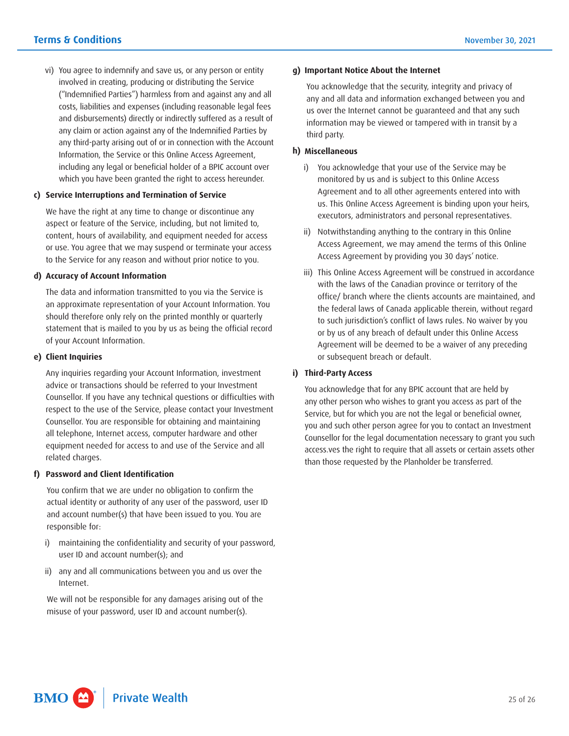vi) You agree to indemnify and save us, or any person or entity involved in creating, producing or distributing the Service ("Indemnified Parties") harmless from and against any and all costs, liabilities and expenses (including reasonable legal fees and disbursements) directly or indirectly suffered as a result of any claim or action against any of the Indemnified Parties by any third-party arising out of or in connection with the Account Information, the Service or this Online Access Agreement, including any legal or beneficial holder of a BPIC account over which you have been granted the right to access hereunder.

#### **c) Service Interruptions and Termination of Service**

We have the right at any time to change or discontinue any aspect or feature of the Service, including, but not limited to, content, hours of availability, and equipment needed for access or use. You agree that we may suspend or terminate your access to the Service for any reason and without prior notice to you.

#### **d) Accuracy of Account Information**

The data and information transmitted to you via the Service is an approximate representation of your Account Information. You should therefore only rely on the printed monthly or quarterly statement that is mailed to you by us as being the official record of your Account Information.

#### **e) Client Inquiries**

Any inquiries regarding your Account Information, investment advice or transactions should be referred to your Investment Counsellor. If you have any technical questions or difficulties with respect to the use of the Service, please contact your Investment Counsellor. You are responsible for obtaining and maintaining all telephone, Internet access, computer hardware and other equipment needed for access to and use of the Service and all related charges.

#### **f) Password and Client Identification**

You confirm that we are under no obligation to confirm the actual identity or authority of any user of the password, user ID and account number(s) that have been issued to you. You are responsible for:

- i) maintaining the confidentiality and security of your password, user ID and account number(s); and
- ii) any and all communications between you and us over the Internet.

We will not be responsible for any damages arising out of the misuse of your password, user ID and account number(s).

#### **g) Important Notice About the Internet**

You acknowledge that the security, integrity and privacy of any and all data and information exchanged between you and us over the Internet cannot be guaranteed and that any such information may be viewed or tampered with in transit by a third party.

#### **h) Miscellaneous**

- i) You acknowledge that your use of the Service may be monitored by us and is subject to this Online Access Agreement and to all other agreements entered into with us. This Online Access Agreement is binding upon your heirs, executors, administrators and personal representatives.
- ii) Notwithstanding anything to the contrary in this Online Access Agreement, we may amend the terms of this Online Access Agreement by providing you 30 days' notice.
- iii) This Online Access Agreement will be construed in accordance with the laws of the Canadian province or territory of the office/ branch where the clients accounts are maintained, and the federal laws of Canada applicable therein, without regard to such jurisdiction's conflict of laws rules. No waiver by you or by us of any breach of default under this Online Access Agreement will be deemed to be a waiver of any preceding or subsequent breach or default.

#### **i) Third-Party Access**

 Service, but for which you are not the legal or beneficial owner, you and such other person agree for you to contact an Investment You acknowledge that for any BPIC account that are held by any other person who wishes to grant you access as part of the Counsellor for the legal documentation necessary to grant you such access.ves the right to require that all assets or certain assets other than those requested by the Planholder be transferred.